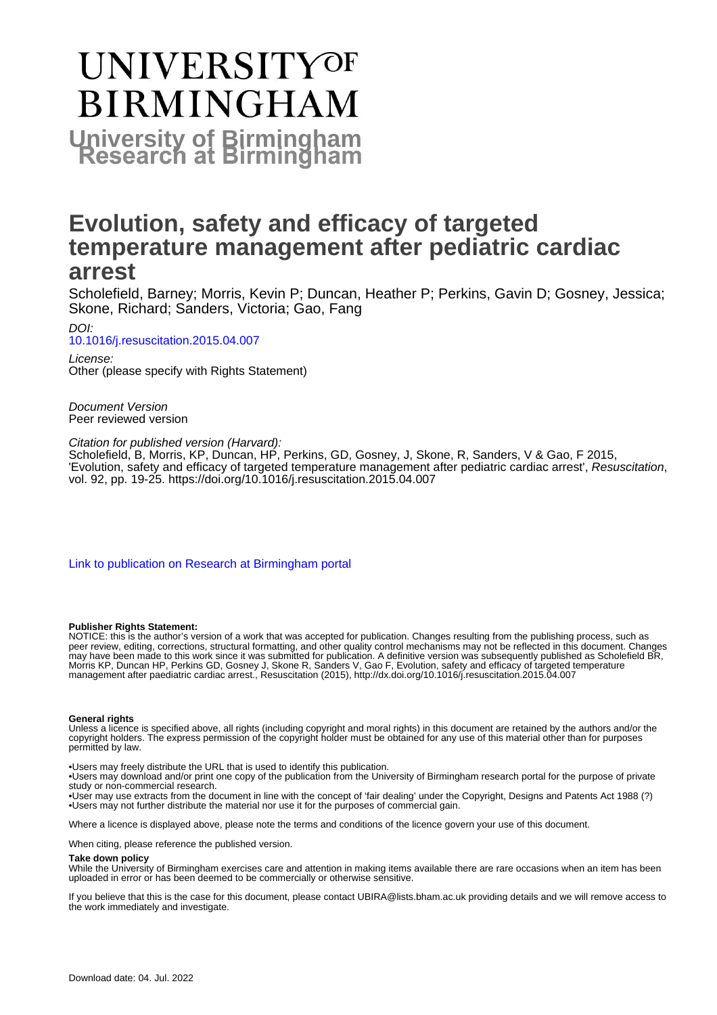# **UNIVERSITYOF BIRMINGHAM University of Birmingham**

## **Evolution, safety and efficacy of targeted temperature management after pediatric cardiac arrest**

Scholefield, Barney; Morris, Kevin P; Duncan, Heather P; Perkins, Gavin D; Gosney, Jessica; Skone, Richard; Sanders, Victoria; Gao, Fang

DOI: [10.1016/j.resuscitation.2015.04.007](https://doi.org/10.1016/j.resuscitation.2015.04.007)

License: Other (please specify with Rights Statement)

Document Version Peer reviewed version

Citation for published version (Harvard):

Scholefield, B, Morris, KP, Duncan, HP, Perkins, GD, Gosney, J, Skone, R, Sanders, V & Gao, F 2015, 'Evolution, safety and efficacy of targeted temperature management after pediatric cardiac arrest', Resuscitation, vol. 92, pp. 19-25. <https://doi.org/10.1016/j.resuscitation.2015.04.007>

[Link to publication on Research at Birmingham portal](https://birmingham.elsevierpure.com/en/publications/a6c08fcb-77b7-4823-b58f-bad04b41d8ea)

### **Publisher Rights Statement:**

NOTICE: this is the author's version of a work that was accepted for publication. Changes resulting from the publishing process, such as peer review, editing, corrections, structural formatting, and other quality control mechanisms may not be reflected in this document. Changes may have been made to this work since it was submitted for publication. A definitive version was subsequently published as Scholefield BR, Morris KP, Duncan HP, Perkins GD, Gosney J, Skone R, Sanders V, Gao F, Evolution, safety and efficacy of targeted temperature management after paediatric cardiac arrest., Resuscitation (2015), http://dx.doi.org/10.1016/j.resuscitation.2015.04.007

### **General rights**

Unless a licence is specified above, all rights (including copyright and moral rights) in this document are retained by the authors and/or the copyright holders. The express permission of the copyright holder must be obtained for any use of this material other than for purposes permitted by law.

• Users may freely distribute the URL that is used to identify this publication.

• Users may download and/or print one copy of the publication from the University of Birmingham research portal for the purpose of private study or non-commercial research.

• User may use extracts from the document in line with the concept of 'fair dealing' under the Copyright, Designs and Patents Act 1988 (?) • Users may not further distribute the material nor use it for the purposes of commercial gain.

Where a licence is displayed above, please note the terms and conditions of the licence govern your use of this document.

When citing, please reference the published version.

### **Take down policy**

While the University of Birmingham exercises care and attention in making items available there are rare occasions when an item has been uploaded in error or has been deemed to be commercially or otherwise sensitive.

If you believe that this is the case for this document, please contact UBIRA@lists.bham.ac.uk providing details and we will remove access to the work immediately and investigate.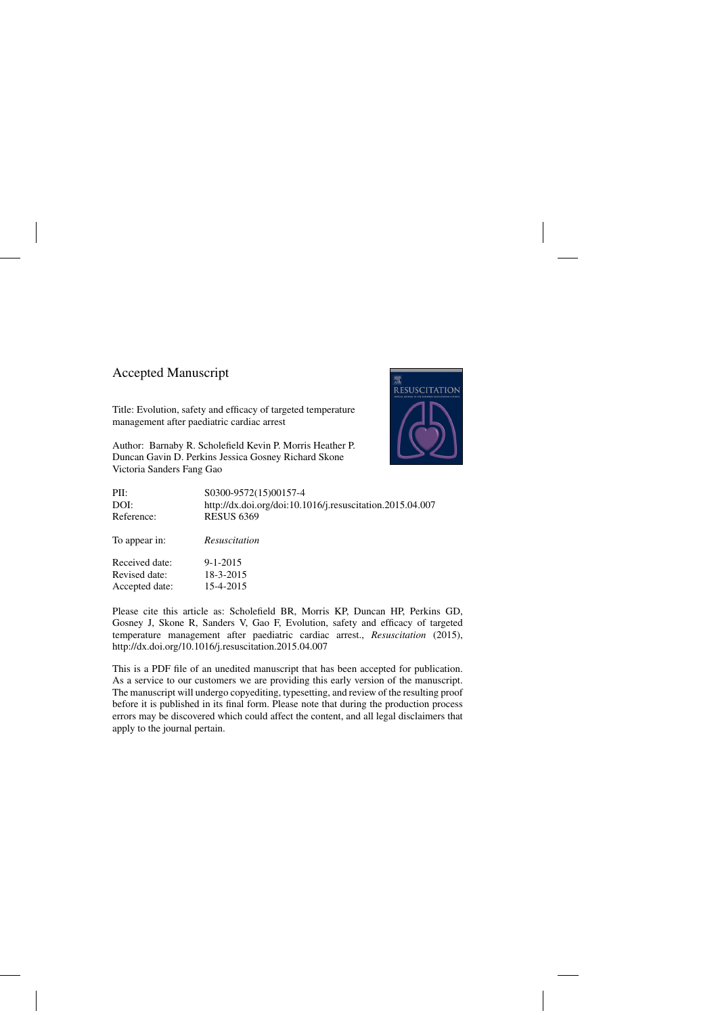### Accepted Manuscript

Title: Evolution, safety and efficacy of targeted temperature management after paediatric cardiac arrest

Author: Barnaby R. Scholefield Kevin P. Morris Heather P. Duncan Gavin D. Perkins Jessica Gosney Richard Skone Victoria Sanders Fang Gao



| PII:           | S0300-9572(15)00157-4                                     |
|----------------|-----------------------------------------------------------|
| DOI:           | http://dx.doi.org/doi:10.1016/j.resuscitation.2015.04.007 |
| Reference:     | <b>RESUS 6369</b>                                         |
| To appear in:  | Resuscitation                                             |
| Received date: | $9 - 1 - 2015$                                            |
| Revised date:  | 18-3-2015                                                 |
| Accepted date: | 15-4-2015                                                 |

Please cite this article as: Scholefield BR, Morris KP, Duncan HP, Perkins GD, Gosney J, Skone R, Sanders V, Gao F, Evolution, safety and efficacy of targeted temperature management after paediatric cardiac arrest., *Resuscitation* (2015), <http://dx.doi.org/10.1016/j.resuscitation.2015.04.007>

This is a PDF file of an unedited manuscript that has been accepted for publication. As a service to our customers we are providing this early version of the manuscript. The manuscript will undergo copyediting, typesetting, and review of the resulting proof before it is published in its final form. Please note that during the production process errors may be discovered which could affect the content, and all legal disclaimers that apply to the journal pertain.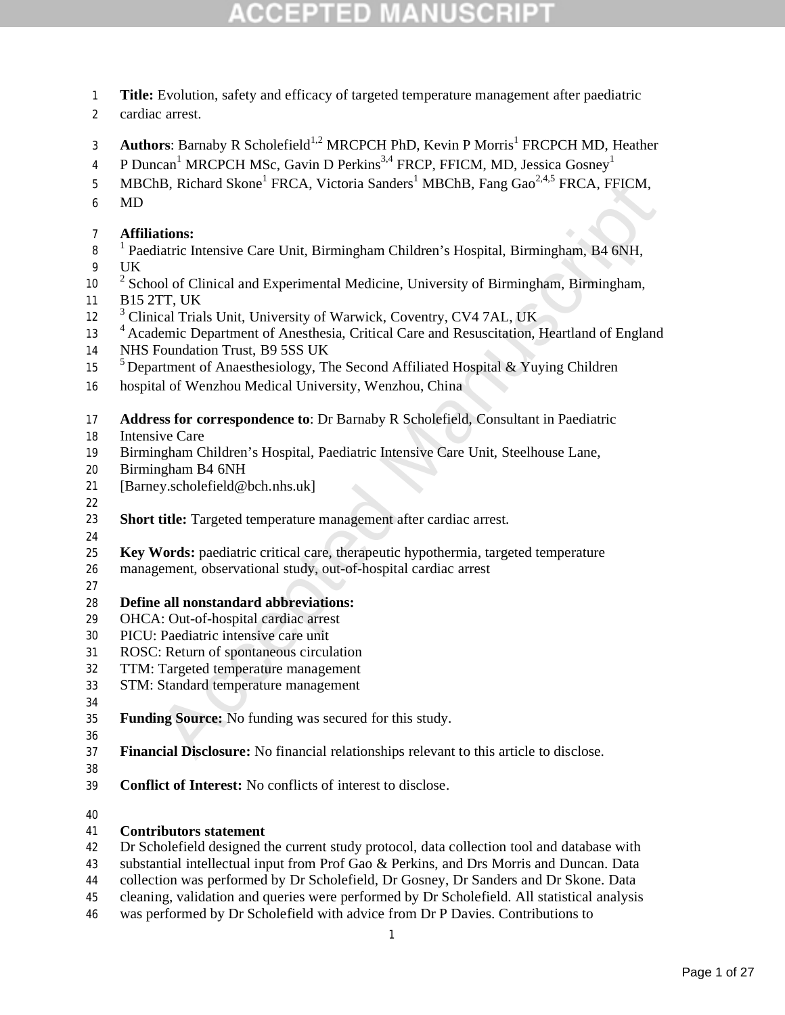- **Title:** Evolution, safety and efficacy of targeted temperature management after paediatric
- cardiac arrest.
- 3 **Authors:** Barnaby R Scholefield<sup>1,2</sup> MRCPCH PhD, Kevin P Morris<sup>1</sup> FRCPCH MD, Heather
- 4 P Duncan<sup>1</sup> MRCPCH MSc, Gavin D Perkins<sup>3,4</sup> FRCP, FFICM, MD, Jessica Gosney<sup>1</sup>
- 5 MBChB, Richard Skone<sup>1</sup> FRCA, Victoria Sanders<sup>1</sup> MBChB, Fang Gao<sup>2,4,5</sup> FRCA, FFICM,
- MD

### **Affiliations:**

- <sup>1</sup> Paediatric Intensive Care Unit, Birmingham Children's Hospital, Birmingham, B4 6NH,
- UK
- $2^2$  School of Clinical and Experimental Medicine, University of Birmingham, Birmingham,
- B15 2TT, UK
- <sup>3</sup> Clinical Trials Unit, University of Warwick, Coventry, CV4 7AL, UK
- 1B, Richard Skone' FRCA, Victoria Sanders' MBChB, Fang Gao<sup>-----</sup> FRCA, FFICM,<br>
ations:<br>
ations:<br>
ations:<br>
ations:<br>
ations:<br>
liatric Intensive Care Unit, Birmingham Children's Hospital, Birmingham, B4 6NH,<br>
pol of Clinical <sup>4</sup> Academic Department of Anesthesia, Critical Care and Resuscitation, Heartland of England
- NHS Foundation Trust, B9 5SS UK
- <sup>5</sup> Department of Anaesthesiology, The Second Affiliated Hospital & Yuying Children
- hospital of Wenzhou Medical University, Wenzhou, China
- **Address for correspondence to**: Dr Barnaby R Scholefield, Consultant in Paediatric
- Intensive Care
- Birmingham Children's Hospital, Paediatric Intensive Care Unit, Steelhouse Lane,
- Birmingham B4 6NH
- [Barney.scholefield@bch.nhs.uk]
- 
- **Short title:** Targeted temperature management after cardiac arrest.
- 
- **Key Words:** paediatric critical care, therapeutic hypothermia, targeted temperature
- management, observational study, out-of-hospital cardiac arrest
- 

### **Define all nonstandard abbreviations:**

- OHCA: Out-of-hospital cardiac arrest
- PICU: Paediatric intensive care unit
- ROSC: Return of spontaneous circulation
- TTM: Targeted temperature management
- STM: Standard temperature management
- 

- **Funding Source:** No funding was secured for this study.
- **Financial Disclosure:** No financial relationships relevant to this article to disclose.
- 
- **Conflict of Interest:** No conflicts of interest to disclose.
- 

### **Contributors statement**

- Dr Scholefield designed the current study protocol, data collection tool and database with
- substantial intellectual input from Prof Gao & Perkins, and Drs Morris and Duncan. Data
- collection was performed by Dr Scholefield, Dr Gosney, Dr Sanders and Dr Skone. Data
- cleaning, validation and queries were performed by Dr Scholefield. All statistical analysis
- was performed by Dr Scholefield with advice from Dr P Davies. Contributions to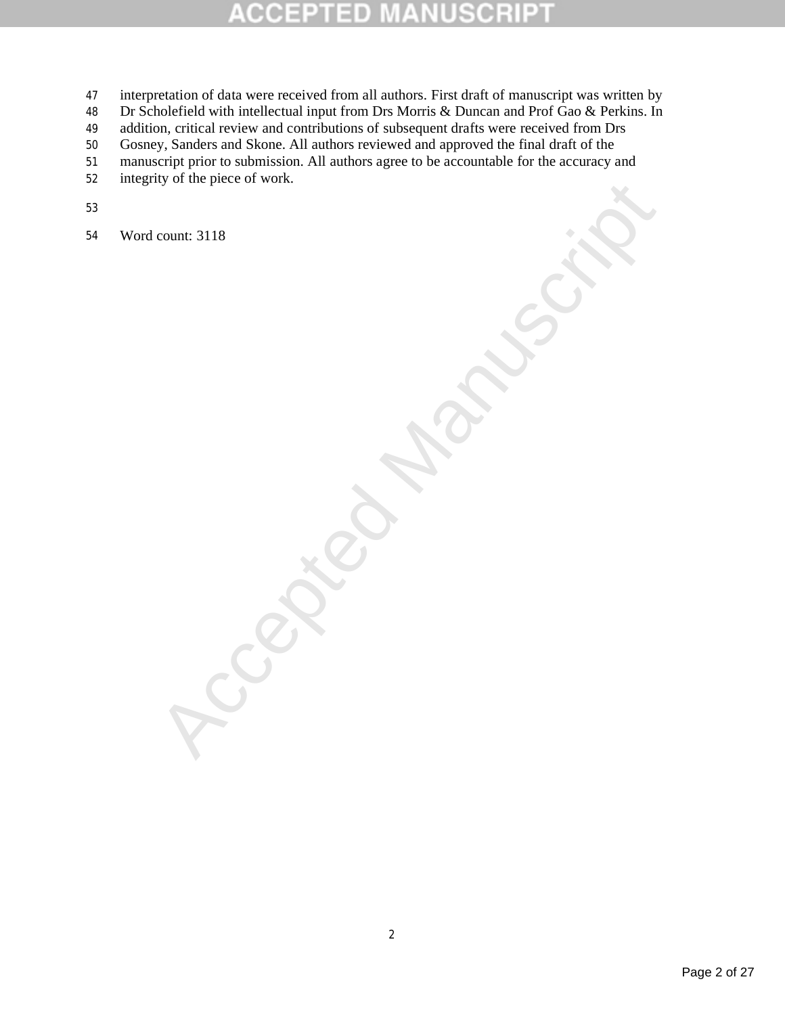### P ID E

- interpretation of data were received from all authors. First draft of manuscript was written by
- 48 Dr Scholefield with intellectual input from Drs Morris & Duncan and Prof Gao & Perkins. In
- addition, critical review and contributions of subsequent drafts were received from Drs
- Gosney, Sanders and Skone. All authors reviewed and approved the final draft of the
- manuscript prior to submission. All authors agree to be accountable for the accuracy and
- integrity of the piece of work.
- 
- **Accepted Manuscript** Word count: 3118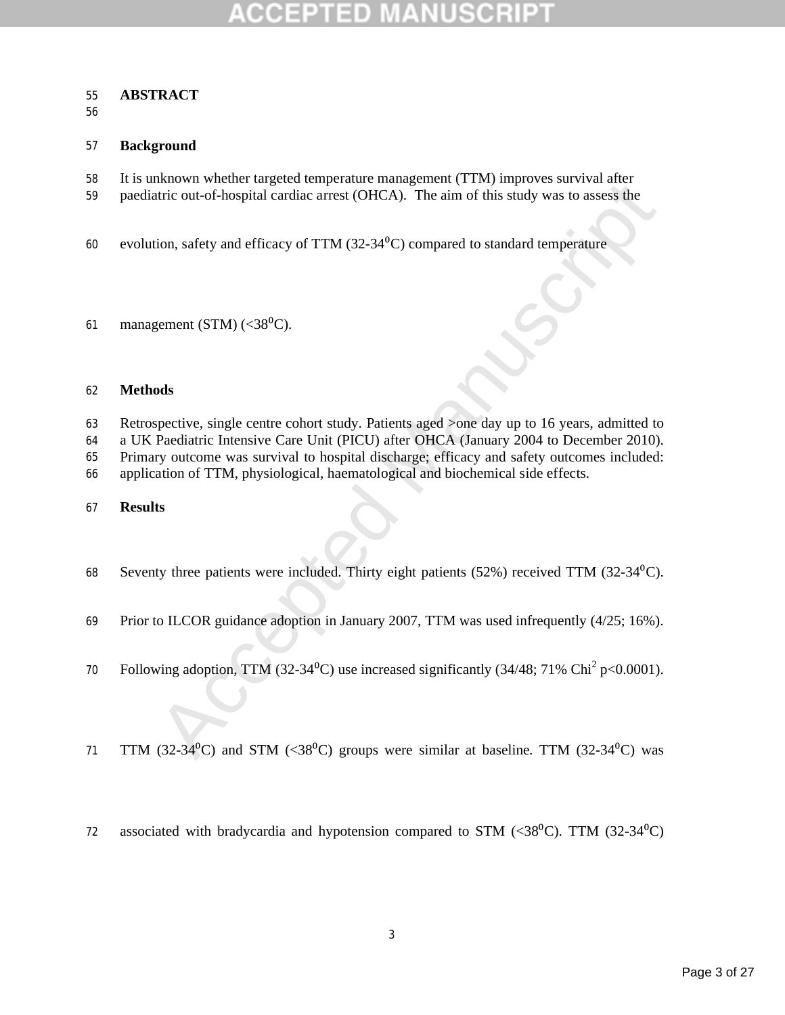### **ABSTRACT**

### **Background**

- It is unknown whether targeted temperature management (TTM) improves survival after
- paediatric out-of-hospital cardiac arrest (OHCA). The aim of this study was to assess the
- 60 evolution, safety and efficacy of TTM  $(32-34<sup>o</sup>C)$  compared to standard temperature
- 61 management (STM)  $(<38\degree C)$ .

### **Methods**

Matown whence the gigctot temperature mangepartic (t 1100 mptyoes surviva ancheological cardia areas (OHCA). The aim of this study was to assess the<br>tiric out-of-hospital cardia areas (OHCA). The aim of this study was to Retrospective, single centre cohort study. Patients aged >one day up to 16 years, admitted to

a UK Paediatric Intensive Care Unit (PICU) after OHCA (January 2004 to December 2010).

Primary outcome was survival to hospital discharge; efficacy and safety outcomes included:

application of TTM, physiological, haematological and biochemical side effects.

### **Results**

68 Seventy three patients were included. Thirty eight patients  $(52%)$  received TTM  $(32-34<sup>0</sup>C)$ .

Prior to ILCOR guidance adoption in January 2007, TTM was used infrequently (4/25; 16%).

- 70 Following adoption, TTM (32-34<sup>o</sup>C) use increased significantly (34/48; 71% Chi<sup>2</sup> p<0.0001).
- 71 TTM (32-34<sup>0</sup>C) and STM (<38<sup>0</sup>C) groups were similar at baseline. TTM (32-34<sup>0</sup>C) was
- 72 associated with bradycardia and hypotension compared to STM  $(\langle 38^{\circ} \text{C} \rangle$ . TTM  $(32\text{-}34^{\circ} \text{C})$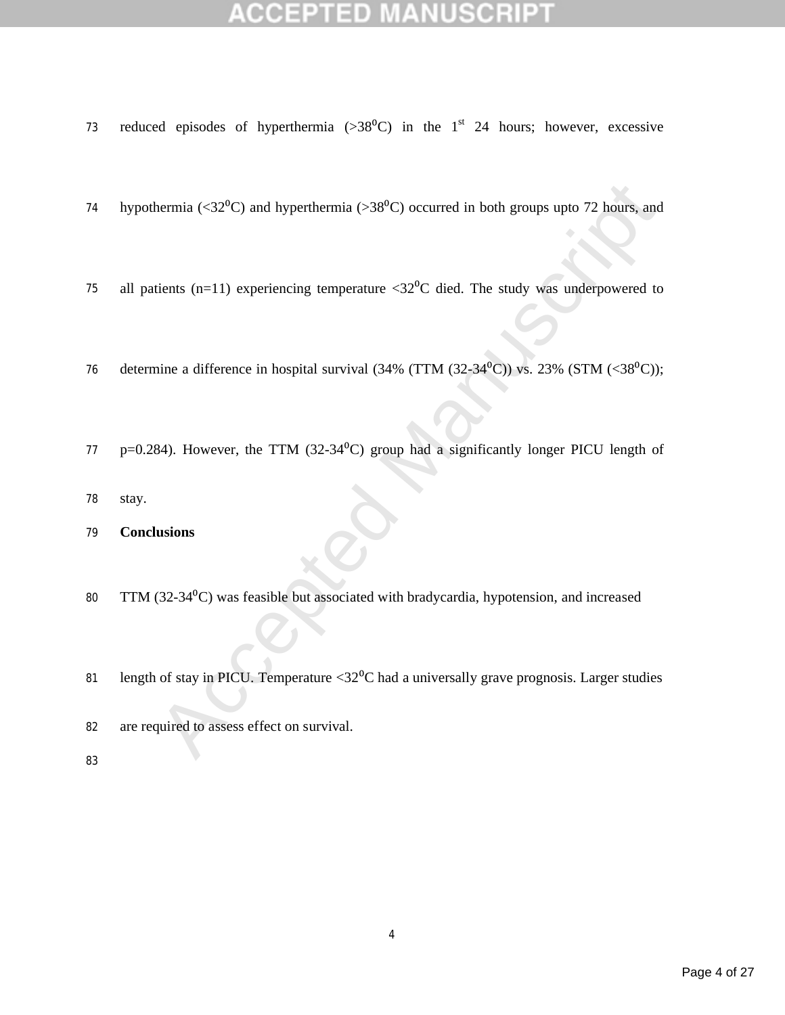- 73 reduced episodes of hyperthermia ( $>38^{\circ}$ C) in the 1<sup>st</sup> 24 hours; however, excessive
- hermia (<32<sup>0</sup>C) and hyperthermia (>38<sup>0</sup>C) occurred in both groups upto 72 hours, and<br>tients (n=11) experiencing temperature <32<sup>0</sup>C died. The study was underpowered to<br>nine a difference in hospital survival (34% (TTM (3 74 hypothermia ( $\langle 32^{\circ}$ C) and hyperthermia ( $>38^{\circ}$ C) occurred in both groups upto 72 hours, and
- 75 all patients (n=11) experiencing temperature  $\langle 32^0C \rangle$  died. The study was underpowered to
- 76 determine a difference in hospital survival  $(34\% (TTM (32-34<sup>0</sup>C))$  vs. 23%  $(STM (<38<sup>0</sup>C))$ ;
- 77 p=0.284). However, the TTM (32-34 $\rm{^0C}$ ) group had a significantly longer PICU length of
- 78 stay.

79 **Conclusions**

- 80 TTM (32-34<sup>o</sup>C) was feasible but associated with bradycardia, hypotension, and increased
- 81 length of stay in PICU. Temperature  $\langle 32^{\circ}$ C had a universally grave prognosis. Larger studies
- 82 are required to assess effect on survival.
- 83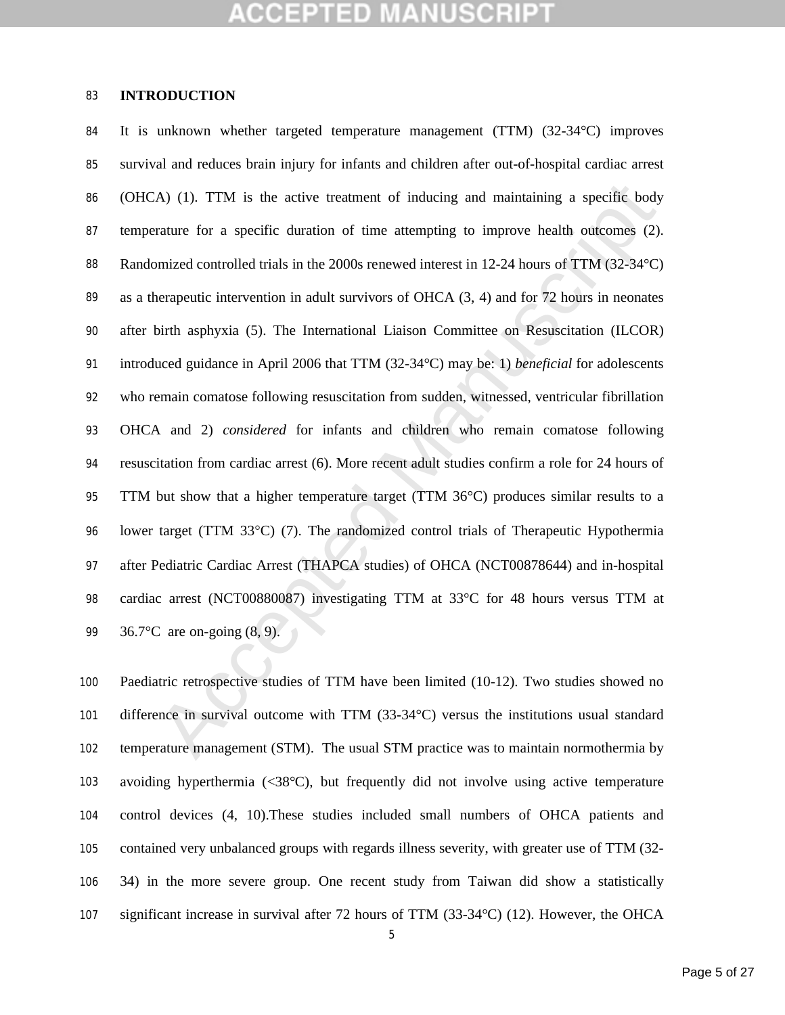### **INTRODUCTION**

A) (1). TTM is the active treatment of inducing and maintaining a specific body<br>rature for a specific duration of time attempting to improve health outcomes (2).<br>mized controlled trials in the 2000s renewed interest in 12 It is unknown whether targeted temperature management (TTM) (32-34°C) improves survival and reduces brain injury for infants and children after out-of-hospital cardiac arrest (OHCA) (1). TTM is the active treatment of inducing and maintaining a specific body temperature for a specific duration of time attempting to improve health outcomes (2). 88 Randomized controlled trials in the 2000s renewed interest in 12-24 hours of TTM (32-34°C) as a therapeutic intervention in adult survivors of OHCA (3, 4) and for 72 hours in neonates after birth asphyxia (5). The International Liaison Committee on Resuscitation (ILCOR) introduced guidance in April 2006 that TTM (32-34°C) may be: 1) *beneficial* for adolescents who remain comatose following resuscitation from sudden, witnessed, ventricular fibrillation OHCA and 2) *considered* for infants and children who remain comatose following resuscitation from cardiac arrest (6). More recent adult studies confirm a role for 24 hours of TTM but show that a higher temperature target (TTM 36°C) produces similar results to a lower target (TTM 33C) (7). The randomized control trials of Therapeutic Hypothermia after Pediatric Cardiac Arrest (THAPCA studies) of OHCA (NCT00878644) and in-hospital cardiac arrest (NCT00880087) investigating TTM at 33°C for 48 hours versus TTM at 36.7°C are on-going (8, 9).

 Paediatric retrospective studies of TTM have been limited (10-12). Two studies showed no difference in survival outcome with TTM (33-34°C) versus the institutions usual standard temperature management (STM). The usual STM practice was to maintain normothermia by avoiding hyperthermia (<38°C), but frequently did not involve using active temperature control devices (4, 10).These studies included small numbers of OHCA patients and contained very unbalanced groups with regards illness severity, with greater use of TTM (32- 34) in the more severe group. One recent study from Taiwan did show a statistically significant increase in survival after 72 hours of TTM (33-34°C) (12). However, the OHCA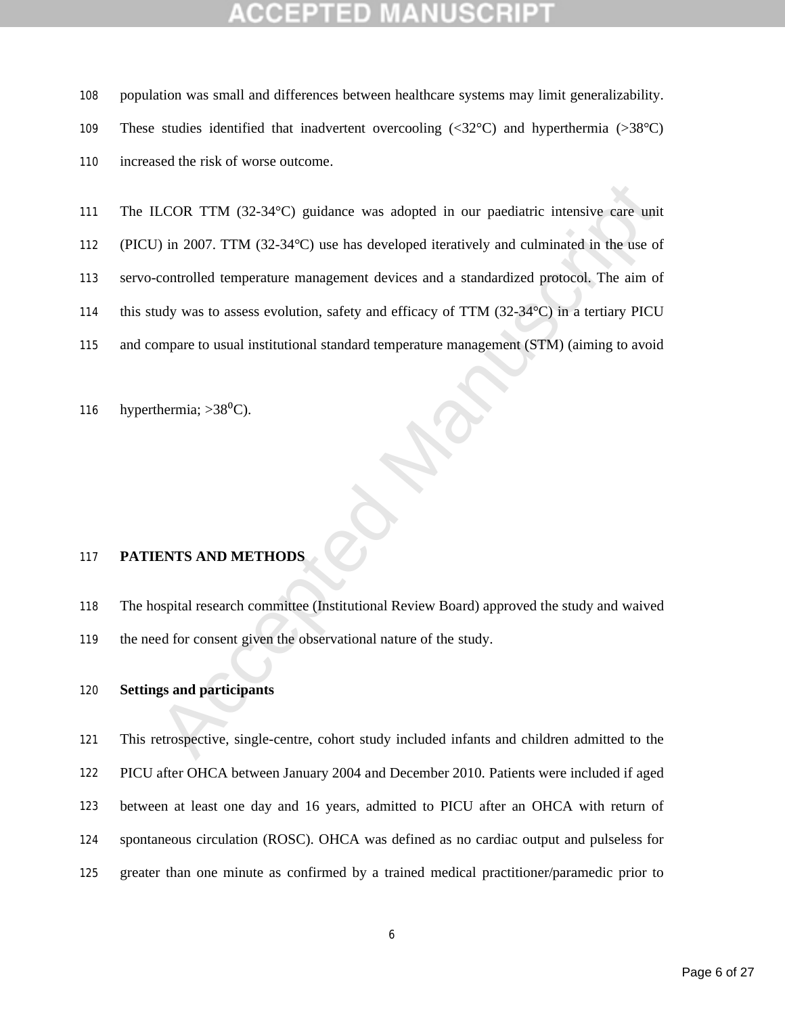population was small and differences between healthcare systems may limit generalizability.

These studies identified that inadvertent overcooling (<32°C) and hyperthermia (>38°C)

increased the risk of worse outcome.

LCOR TTM (32-34°C) guidance was adopted in our pacdiatric intensive care unit<br>
1) in 2007. TTM (32-34°C) use has developed iteratively and culminated in the use of<br>
controlled temperature management devices and a standard 111 The ILCOR TTM (32-34°C) guidance was adopted in our paediatric intensive care unit (PICU) in 2007. TTM (32-34°C) use has developed iteratively and culminated in the use of servo-controlled temperature management devices and a standardized protocol. The aim of this study was to assess evolution, safety and efficacy of TTM (32-34°C) in a tertiary PICU and compare to usual institutional standard temperature management (STM) (aiming to avoid

116 hyperthermia;  $>38^{\circ}$ C).

### **PATIENTS AND METHODS**

 The hospital research committee (Institutional Review Board) approved the study and waived 119 the need for consent given the observational nature of the study.

### **Settings and participants**

 This retrospective, single-centre, cohort study included infants and children admitted to the PICU after OHCA between January 2004 and December 2010. Patients were included if aged between at least one day and 16 years, admitted to PICU after an OHCA with return of spontaneous circulation (ROSC). OHCA was defined as no cardiac output and pulseless for greater than one minute as confirmed by a trained medical practitioner/paramedic prior to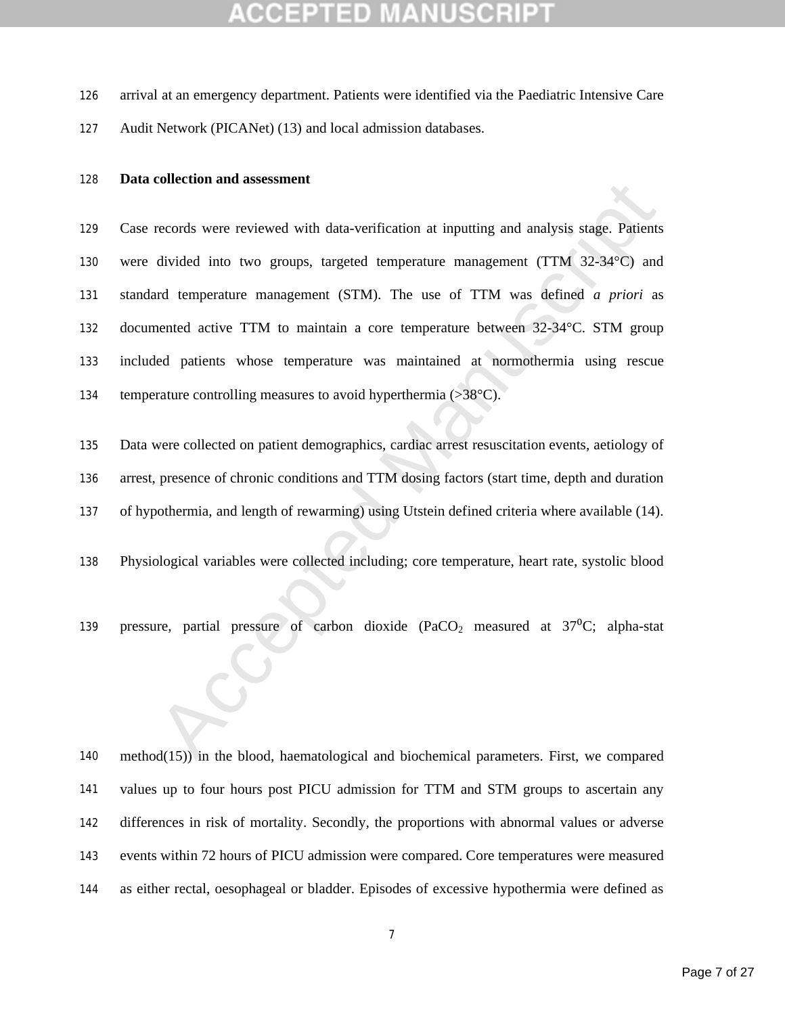arrival at an emergency department. Patients were identified via the Paediatric Intensive Care

Audit Network (PICANet) (13) and local admission databases.

### **Data collection and assessment**

records were reviewed with data-verification at inputting and analysis stage. Patients<br>divided into two groups, targeted temperature management (TTM 32-34°C) and<br>and temperature management (STM). The use of TTM was define Case records were reviewed with data-verification at inputting and analysis stage. Patients were divided into two groups, targeted temperature management (TTM 32-34°C) and standard temperature management (STM). The use of TTM was defined *a priori* as documented active TTM to maintain a core temperature between 32-34°C. STM group included patients whose temperature was maintained at normothermia using rescue 134 temperature controlling measures to avoid hyperthermia (>38°C).

 Data were collected on patient demographics, cardiac arrest resuscitation events, aetiology of arrest, presence of chronic conditions and TTM dosing factors (start time, depth and duration of hypothermia, and length of rewarming) using Utstein defined criteria where available (14).

Physiological variables were collected including; core temperature, heart rate, systolic blood

139 pressure, partial pressure of carbon dioxide  $(PaCO<sub>2</sub>$  measured at  $37^{\circ}C$ ; alpha-stat

 method(15)) in the blood, haematological and biochemical parameters. First, we compared values up to four hours post PICU admission for TTM and STM groups to ascertain any differences in risk of mortality. Secondly, the proportions with abnormal values or adverse events within 72 hours of PICU admission were compared. Core temperatures were measured as either rectal, oesophageal or bladder. Episodes of excessive hypothermia were defined as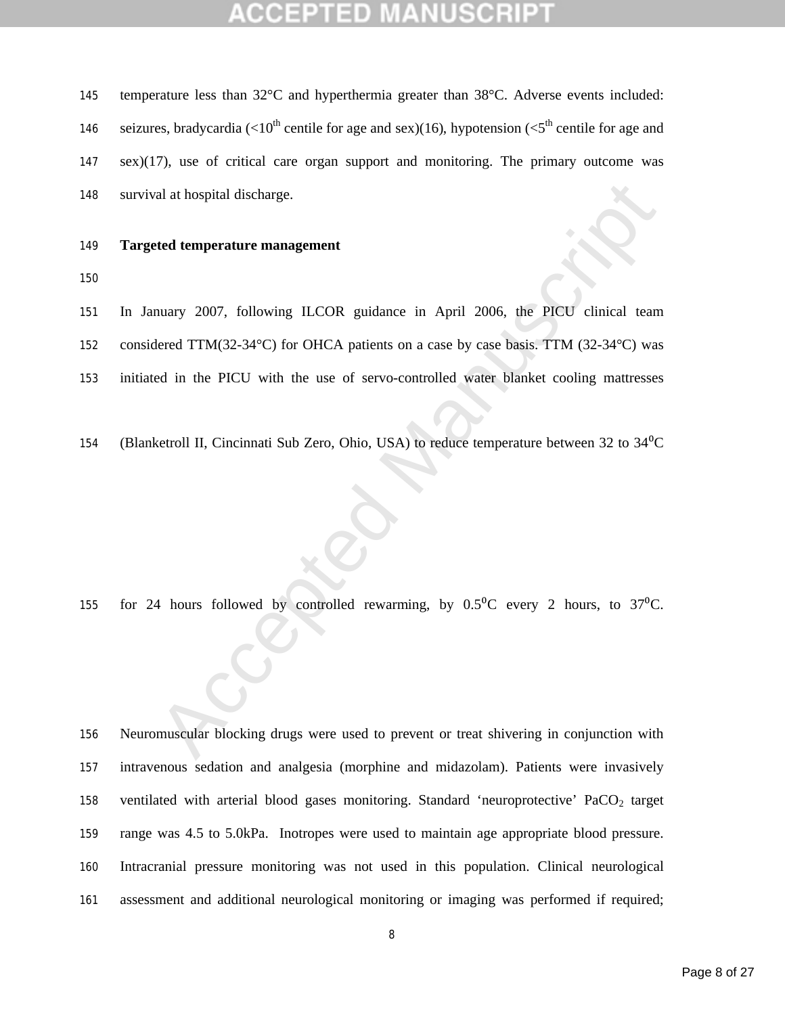| 145 | temperature less than $32^{\circ}$ C and hyperthermia greater than $38^{\circ}$ C. Adverse events included:              |  |
|-----|--------------------------------------------------------------------------------------------------------------------------|--|
| 146 | seizures, bradycardia (<10 <sup>th</sup> centile for age and sex)(16), hypotension (<5 <sup>th</sup> centile for age and |  |
| 147 | $sex)(17)$ , use of critical care organ support and monitoring. The primary outcome was                                  |  |
| 148 | survival at hospital discharge.                                                                                          |  |

### **Targeted temperature management**

and a hospital discharge.<br>
Accelered temperature management<br>
many 2007, following LLCOR guidance in April 2006, the PICU clinical team<br>
elect TTM(32-34°C) for OHCA patients on a case by case basis. TTM (32-34°C) was<br>
ad in In January 2007, following ILCOR guidance in April 2006, the PICU clinical team considered TTM(32-34°C) for OHCA patients on a case by case basis. TTM (32-34°C) was

- initiated in the PICU with the use of servo-controlled water blanket cooling mattresses
- 154 (Blanketroll II, Cincinnati Sub Zero, Ohio, USA) to reduce temperature between 32 to 34<sup>0</sup>C

155 for 24 hours followed by controlled rewarming, by  $0.5^{\circ}$ C every 2 hours, to 37 $^{\circ}$ C.

 Neuromuscular blocking drugs were used to prevent or treat shivering in conjunction with intravenous sedation and analgesia (morphine and midazolam). Patients were invasively 158 ventilated with arterial blood gases monitoring. Standard 'neuroprotective' PaCO<sub>2</sub> target range was 4.5 to 5.0kPa. Inotropes were used to maintain age appropriate blood pressure. Intracranial pressure monitoring was not used in this population. Clinical neurological assessment and additional neurological monitoring or imaging was performed if required;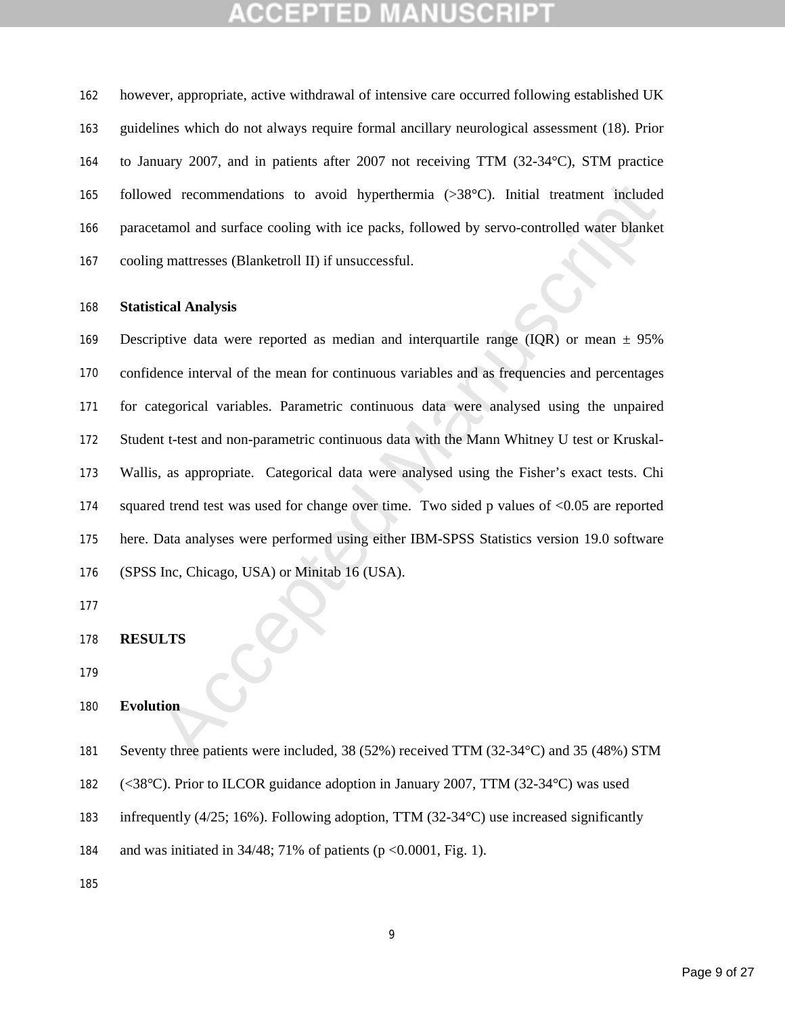## COEPTED

 however, appropriate, active withdrawal of intensive care occurred following established UK guidelines which do not always require formal ancillary neurological assessment (18). Prior to January 2007, and in patients after 2007 not receiving TTM (32-34°C), STM practice followed recommendations to avoid hyperthermia (>38°C). Initial treatment included paracetamol and surface cooling with ice packs, followed by servo-controlled water blanket cooling mattresses (Blanketroll II) if unsuccessful.

### **Statistical Analysis**

red recommendations to avoid hyperthermia (>38°C). Initial treatment included<br>tamol and surface cooling with ice packs, followed by servo-controlled water blanket<br>g mattresses (Blanketroll II) if unsuccessful.<br>tieal Analys Descriptive data were reported as median and interquartile range (IQR) or mean ± 95% confidence interval of the mean for continuous variables and as frequencies and percentages for categorical variables. Parametric continuous data were analysed using the unpaired Student t-test and non-parametric continuous data with the Mann Whitney U test or Kruskal- Wallis, as appropriate. Categorical data were analysed using the Fisher's exact tests. Chi 174 squared trend test was used for change over time. Two sided p values of <0.05 are reported here. Data analyses were performed using either IBM-SPSS Statistics version 19.0 software (SPSS Inc, Chicago, USA) or Minitab 16 (USA).

### **RESULTS**

### **Evolution**

```
181 Seventy three patients were included, 38 (52%) received TTM (32-34°C) and 35 (48%) STM
```
- (<38°C). Prior to ILCOR guidance adoption in January 2007, TTM (32-34°C) was used
- infrequently (4/25; 16%). Following adoption, TTM (32-34°C) use increased significantly

and was initiated in 34/48; 71% of patients (p <0.0001, Fig. 1).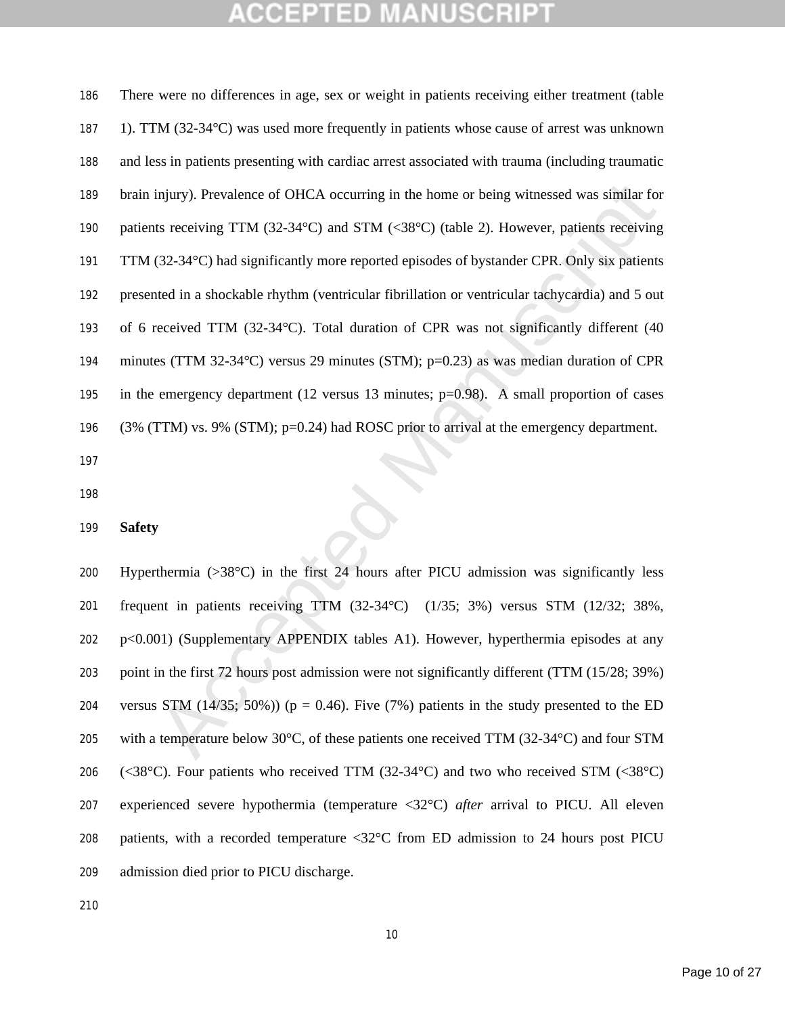injury). Prevalence of OHCA occurring in the home or being witnessed was similar for<br>ts receiving TTM (32-34°C) and STM (<38°C) (table 2). However, patients receiving<br>(32-34°C) had significantly more reported episodes of There were no differences in age, sex or weight in patients receiving either treatment (table 1). TTM (32-34°C) was used more frequently in patients whose cause of arrest was unknown and less in patients presenting with cardiac arrest associated with trauma (including traumatic brain injury). Prevalence of OHCA occurring in the home or being witnessed was similar for 190 patients receiving TTM (32-34°C) and STM (<38°C) (table 2). However, patients receiving TTM (32-34°C) had significantly more reported episodes of bystander CPR. Only six patients presented in a shockable rhythm (ventricular fibrillation or ventricular tachycardia) and 5 out of 6 received TTM (32-34°C). Total duration of CPR was not significantly different (40 minutes (TTM 32-34°C) versus 29 minutes (STM); p=0.23) as was median duration of CPR 195 in the emergency department (12 versus 13 minutes; p=0.98). A small proportion of cases (3% (TTM) vs. 9% (STM); p=0.24) had ROSC prior to arrival at the emergency department.

### **Safety**

 Hyperthermia (>38°C) in the first 24 hours after PICU admission was significantly less frequent in patients receiving TTM (32-34°C) (1/35; 3%) versus STM (12/32; 38%, p<0.001) (Supplementary APPENDIX tables A1). However, hyperthermia episodes at any point in the first 72 hours post admission were not significantly different (TTM (15/28; 39%) 204 versus STM  $(14/35; 50\%)$  (p = 0.46). Five (7%) patients in the study presented to the ED 205 with a temperature below  $30^{\circ}$ C, of these patients one received TTM (32-34 $^{\circ}$ C) and four STM 206 (<38°C). Four patients who received TTM (32-34°C) and two who received STM (<38°C) experienced severe hypothermia (temperature <32°C) *after* arrival to PICU. All eleven patients, with a recorded temperature <32°C from ED admission to 24 hours post PICU admission died prior to PICU discharge.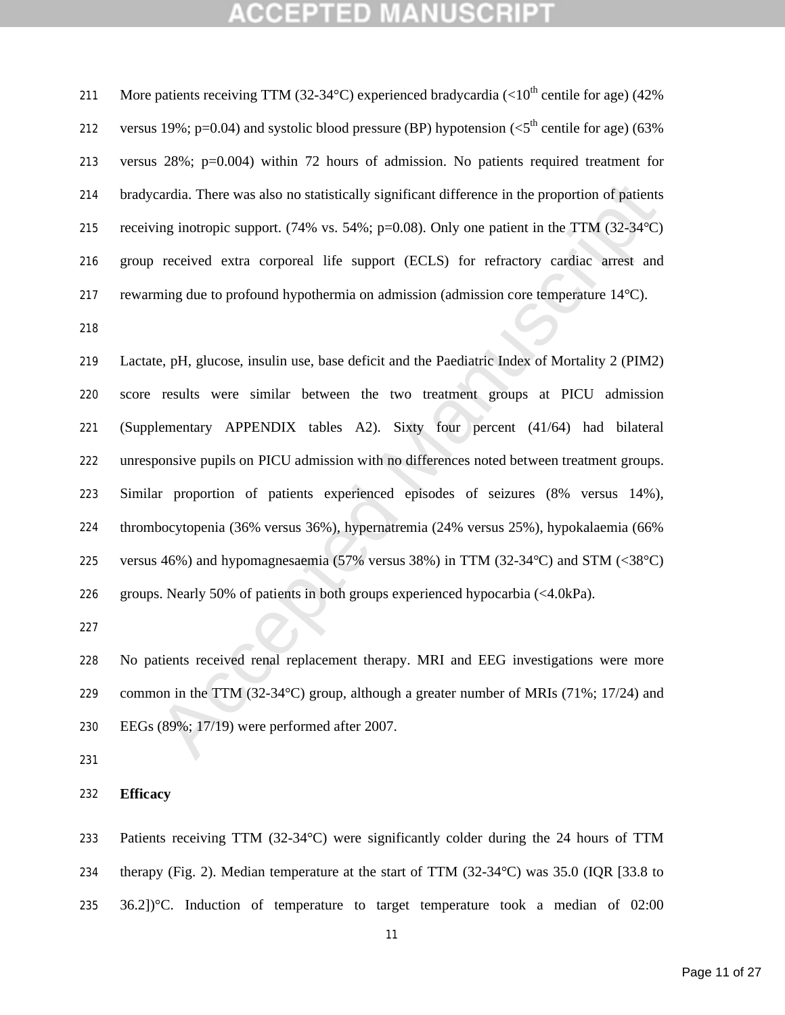211 More patients receiving TTM (32-34 °C) experienced bradycardia (<10<sup>th</sup> centile for age) (42% 212 versus 19%; p=0.04) and systolic blood pressure (BP) hypotension ( $\lt 5^{th}$  centile for age) (63% versus 28%; p=0.004) within 72 hours of admission. No patients required treatment for bradycardia. There was also no statistically significant difference in the proportion of patients receiving inotropic support. (74% vs. 54%; p=0.08). Only one patient in the TTM (32-34°C) group received extra corporeal life support (ECLS) for refractory cardiac arrest and rewarming due to profound hypothermia on admission (admission core temperature 14°C).

eradia. There was also no statistically significant difference in the proportion of patients<br>ing inotropic support. (74% vs. 54%; p=0.08). Only one patient in the TTM (32-34°C)<br>received extra corporeal life support (ECLS) Lactate, pH, glucose, insulin use, base deficit and the Paediatric Index of Mortality 2 (PIM2) score results were similar between the two treatment groups at PICU admission (Supplementary APPENDIX tables A2). Sixty four percent (41/64) had bilateral unresponsive pupils on PICU admission with no differences noted between treatment groups. Similar proportion of patients experienced episodes of seizures (8% versus 14%), thrombocytopenia (36% versus 36%), hypernatremia (24% versus 25%), hypokalaemia (66% versus 46%) and hypomagnesaemia (57% versus 38%) in TTM (32-34°C) and STM (<38°C) groups. Nearly 50% of patients in both groups experienced hypocarbia (<4.0kPa).

 No patients received renal replacement therapy. MRI and EEG investigations were more common in the TTM (32-34°C) group, although a greater number of MRIs (71%; 17/24) and EEGs (89%; 17/19) were performed after 2007.

### **Efficacy**

 Patients receiving TTM (32-34°C) were significantly colder during the 24 hours of TTM therapy (Fig. 2). Median temperature at the start of TTM (32-34°C) was 35.0 (IQR [33.8 to 36.2])°C. Induction of temperature to target temperature took a median of 02:00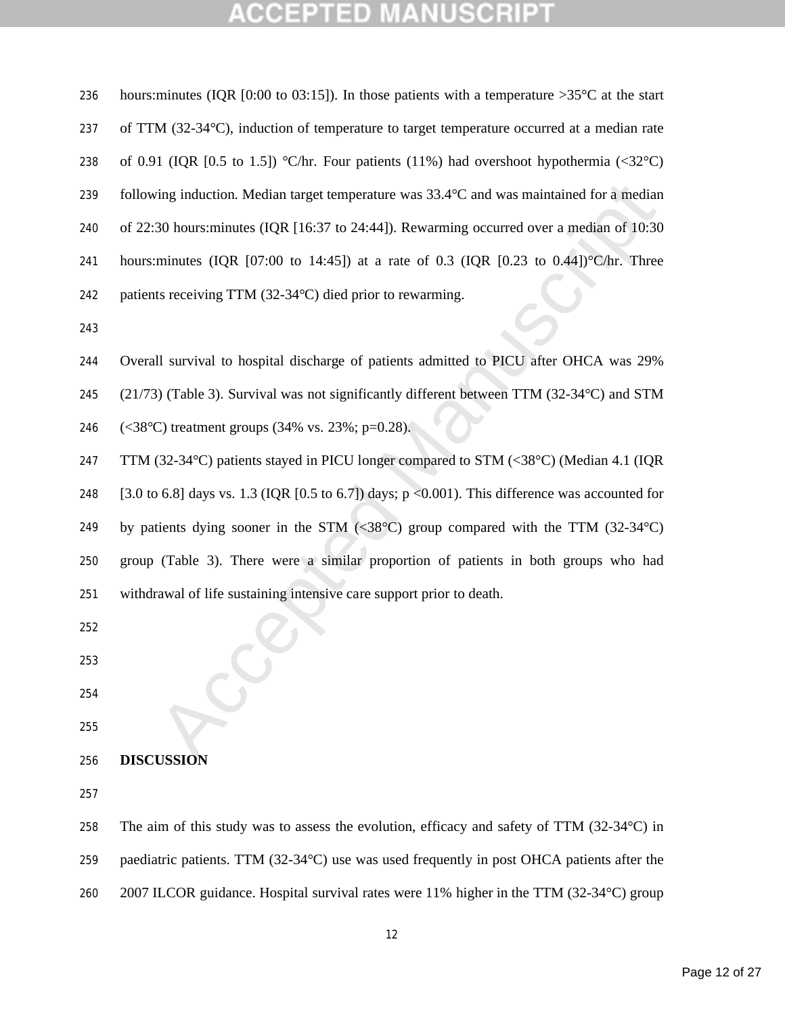### **SCRIPT** ЕĐ Д CCEI B U

| 236 | hours: minutes (IQR [0:00 to 03:15]). In those patients with a temperature >35 $\degree$ C at the start |
|-----|---------------------------------------------------------------------------------------------------------|
| 237 | of TTM (32-34°C), induction of temperature to target temperature occurred at a median rate              |
| 238 | of 0.91 (IQR [0.5 to 1.5]) °C/hr. Four patients (11%) had overshoot hypothermia (<32°C)                 |
| 239 | following induction. Median target temperature was 33.4°C and was maintained for a median               |
| 240 | of 22:30 hours: minutes (IQR [16:37 to 24:44]). Rewarming occurred over a median of 10:30               |
| 241 | hours: minutes (IQR [07:00 to 14:45]) at a rate of 0.3 (IQR [0.23 to 0.44]) °C/hr. Three                |
| 242 | patients receiving TTM (32-34°C) died prior to rewarming.                                               |
| 243 |                                                                                                         |
| 244 | Overall survival to hospital discharge of patients admitted to PICU after OHCA was 29%                  |
| 245 | (21/73) (Table 3). Survival was not significantly different between TTM (32-34°C) and STM               |
| 246 | $(<38^{\circ}$ C) treatment groups (34% vs. 23%; p=0.28).                                               |
| 247 | TTM (32-34°C) patients stayed in PICU longer compared to STM (<38°C) (Median 4.1 (IQR                   |
| 248 | [3.0 to 6.8] days vs. 1.3 (IQR [0.5 to 6.7]) days; $p \le 0.001$ ). This difference was accounted for   |
| 249 | by patients dying sooner in the STM (<38 $^{\circ}$ C) group compared with the TTM (32-34 $^{\circ}$ C) |
| 250 | group (Table 3). There were a similar proportion of patients in both groups who had                     |
| 251 | withdrawal of life sustaining intensive care support prior to death.                                    |
| 252 |                                                                                                         |
| 253 |                                                                                                         |
| 254 |                                                                                                         |
| 255 |                                                                                                         |
| 256 | <b>DISCUSSION</b>                                                                                       |
| 257 |                                                                                                         |
| 258 | The aim of this study was to assess the evolution, efficacy and safety of TTM $(32-34^{\circ}C)$ in     |
| 259 | paediatric patients. TTM (32-34°C) use was used frequently in post OHCA patients after the              |

260 2007 ILCOR guidance. Hospital survival rates were 11% higher in the TTM (32-34°C) group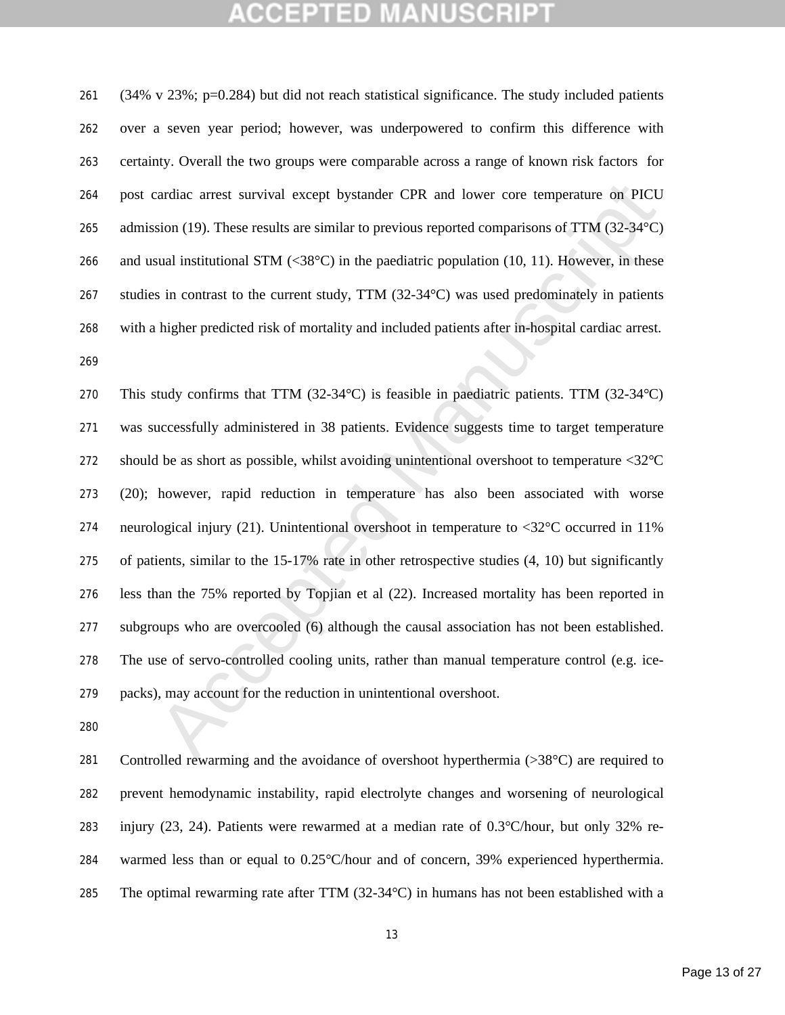(34% v 23%; p=0.284) but did not reach statistical significance. The study included patients over a seven year period; however, was underpowered to confirm this difference with certainty. Overall the two groups were comparable across a range of known risk factors for post cardiac arrest survival except bystander CPR and lower core temperature on PICU 265 admission (19). These results are similar to previous reported comparisons of TTM (32-34 °C) and usual institutional STM (<38°C) in the paediatric population (10, 11). However, in these studies in contrast to the current study, TTM (32-34°C) was used predominately in patients with a higher predicted risk of mortality and included patients after in-hospital cardiac arrest. 

cardiae arrest survival except bystander CPR and lower core temperature on PICU<br>sion (19). These results are similar to previous reported comparisons of TTM (32-34°C)<br>sual institutional STM (<38°C) in the paediatric popul This study confirms that TTM (32-34°C) is feasible in paediatric patients. TTM (32-34°C) was successfully administered in 38 patients. Evidence suggests time to target temperature should be as short as possible, whilst avoiding unintentional overshoot to temperature <32°C (20); however, rapid reduction in temperature has also been associated with worse 274 neurological injury (21). Unintentional overshoot in temperature to  $\langle 32^{\circ}$ C occurred in 11% of patients, similar to the 15-17% rate in other retrospective studies (4, 10) but significantly less than the 75% reported by Topjian et al (22). Increased mortality has been reported in subgroups who are overcooled (6) although the causal association has not been established. The use of servo-controlled cooling units, rather than manual temperature control (e.g. ice-packs), may account for the reduction in unintentional overshoot.

281 Controlled rewarming and the avoidance of overshoot hyperthermia (>38°C) are required to prevent hemodynamic instability, rapid electrolyte changes and worsening of neurological injury (23, 24). Patients were rewarmed at a median rate of 0.3°C/hour, but only 32% re- warmed less than or equal to 0.25°C/hour and of concern, 39% experienced hyperthermia. 285 The optimal rewarming rate after TTM  $(32-34^{\circ}C)$  in humans has not been established with a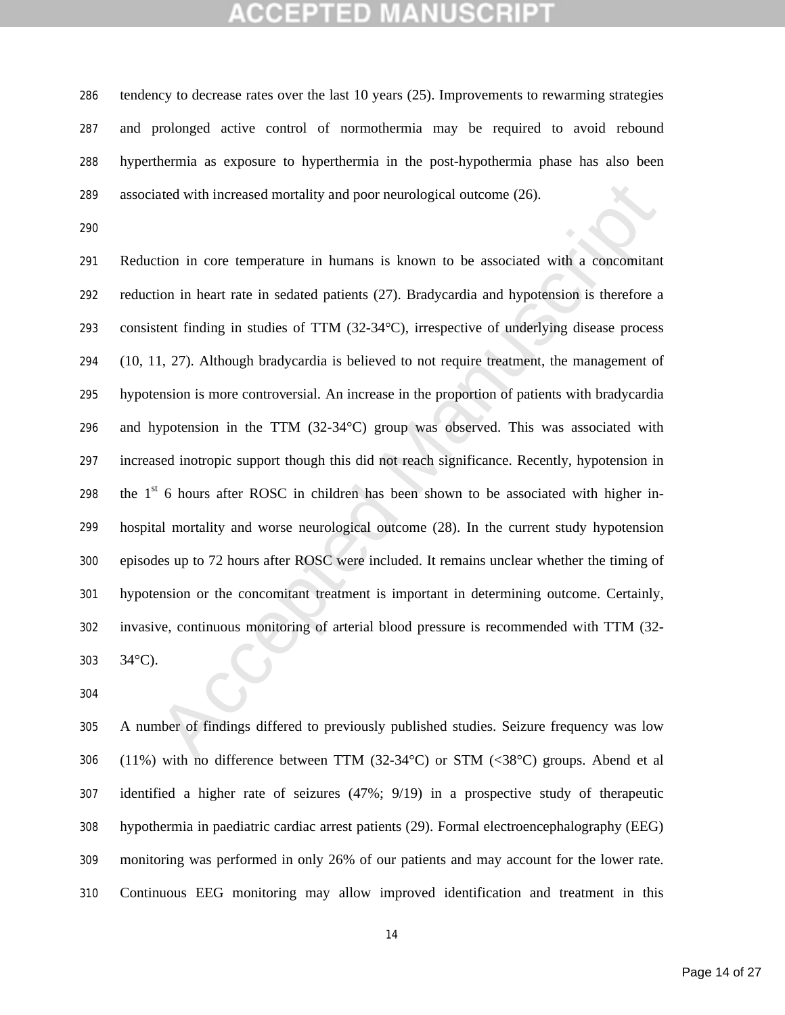tendency to decrease rates over the last 10 years (25). Improvements to rewarming strategies and prolonged active control of normothermia may be required to avoid rebound hyperthermia as exposure to hyperthermia in the post-hypothermia phase has also been associated with increased mortality and poor neurological outcome (26).

ated with increased mortality and poor neurological outcome (26).<br>
trion in core temperature in humans is known to be associated with a concomitant<br>
ion in heart rate in sedated patients (27). Bradycardia and hypotension i Reduction in core temperature in humans is known to be associated with a concomitant reduction in heart rate in sedated patients (27). Bradycardia and hypotension is therefore a consistent finding in studies of TTM (32-34°C), irrespective of underlying disease process (10, 11, 27). Although bradycardia is believed to not require treatment, the management of hypotension is more controversial. An increase in the proportion of patients with bradycardia and hypotension in the TTM (32-34°C) group was observed. This was associated with increased inotropic support though this did not reach significance. Recently, hypotension in 298 the  $1<sup>st</sup>$  6 hours after ROSC in children has been shown to be associated with higher in- hospital mortality and worse neurological outcome (28). In the current study hypotension episodes up to 72 hours after ROSC were included. It remains unclear whether the timing of hypotension or the concomitant treatment is important in determining outcome. Certainly, invasive, continuous monitoring of arterial blood pressure is recommended with TTM (32- 34°C).

 A number of findings differed to previously published studies. Seizure frequency was low (11%) with no difference between TTM (32-34°C) or STM (<38°C) groups. Abend et al identified a higher rate of seizures (47%; 9/19) in a prospective study of therapeutic hypothermia in paediatric cardiac arrest patients (29). Formal electroencephalography (EEG) monitoring was performed in only 26% of our patients and may account for the lower rate. Continuous EEG monitoring may allow improved identification and treatment in this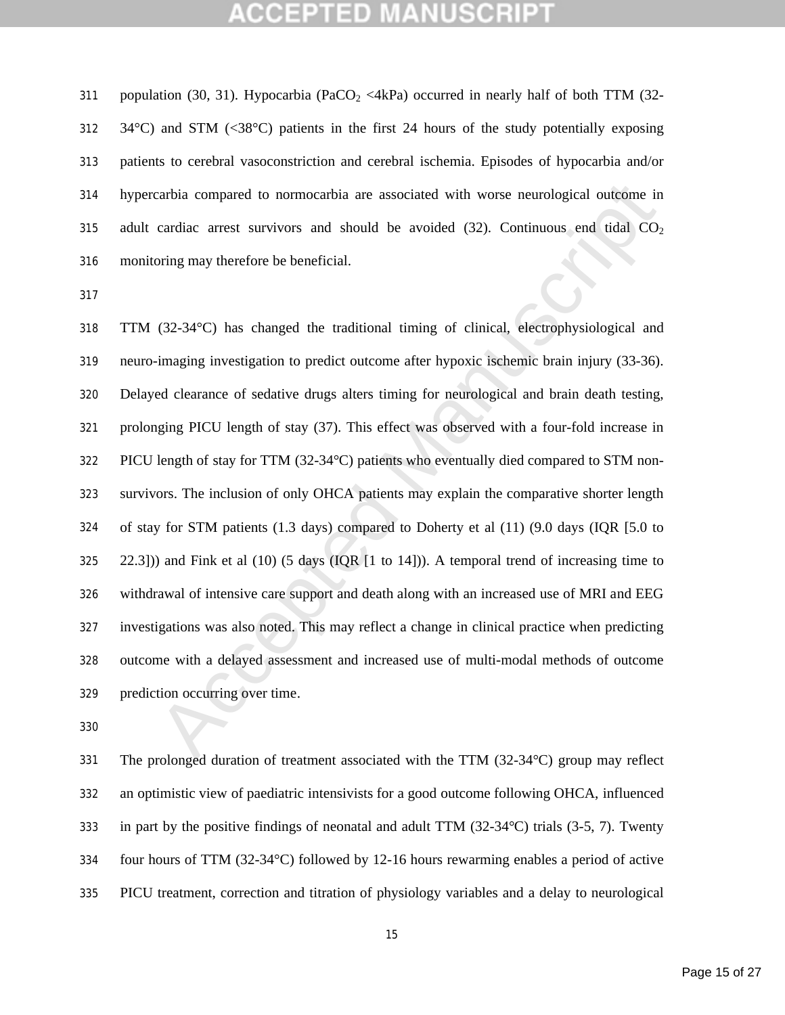311 population (30, 31). Hypocarbia (PaCO<sub>2</sub> <4kPa) occurred in nearly half of both TTM (32- 34°C) and STM (<38°C) patients in the first 24 hours of the study potentially exposing patients to cerebral vasoconstriction and cerebral ischemia. Episodes of hypocarbia and/or hypercarbia compared to normocarbia are associated with worse neurological outcome in 315 adult cardiac arrest survivors and should be avoided  $(32)$ . Continuous end tidal  $CO<sub>2</sub>$ monitoring may therefore be beneficial.

earbia compared to normocarbia are associated with worse neurological outcome in<br>cardiac arrest survivors and should be avoided (32). Continuous end tidal CO<sub>2</sub><br>oring may therefore be beneficial.<br>(32-34°C) has changed the TTM (32-34°C) has changed the traditional timing of clinical, electrophysiological and neuro-imaging investigation to predict outcome after hypoxic ischemic brain injury (33-36). Delayed clearance of sedative drugs alters timing for neurological and brain death testing, prolonging PICU length of stay (37). This effect was observed with a four-fold increase in PICU length of stay for TTM (32-34°C) patients who eventually died compared to STM non- survivors. The inclusion of only OHCA patients may explain the comparative shorter length of stay for STM patients (1.3 days) compared to Doherty et al (11) (9.0 days (IQR [5.0 to 22.3])) and Fink et al (10) (5 days (IQR [1 to 14])). A temporal trend of increasing time to withdrawal of intensive care support and death along with an increased use of MRI and EEG investigations was also noted. This may reflect a change in clinical practice when predicting outcome with a delayed assessment and increased use of multi-modal methods of outcome prediction occurring over time.

 The prolonged duration of treatment associated with the TTM (32-34°C) group may reflect an optimistic view of paediatric intensivists for a good outcome following OHCA, influenced in part by the positive findings of neonatal and adult TTM (32-34°C) trials (3-5, 7). Twenty four hours of TTM (32-34°C) followed by 12-16 hours rewarming enables a period of active PICU treatment, correction and titration of physiology variables and a delay to neurological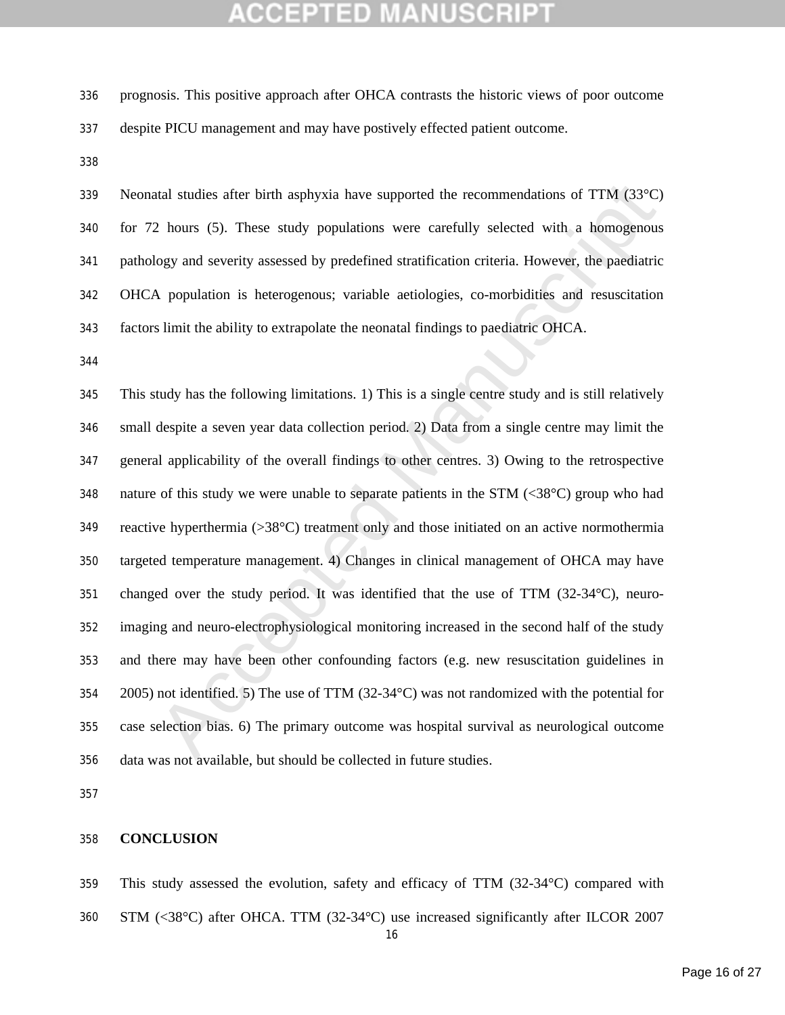prognosis. This positive approach after OHCA contrasts the historic views of poor outcome despite PICU management and may have postively effected patient outcome.

 Neonatal studies after birth asphyxia have supported the recommendations of TTM (33°C) for 72 hours (5). These study populations were carefully selected with a homogenous pathology and severity assessed by predefined stratification criteria. However, the paediatric OHCA population is heterogenous; variable aetiologies, co-morbidities and resuscitation factors limit the ability to extrapolate the neonatal findings to paediatric OHCA.

Interior states after birth asphyxia have supported the recommendations of TTM (33°C)<br>
2 hours (5). These study populations were carefully selected with a homogenous<br>
logy and severity assessed by predefined stratificatio This study has the following limitations. 1) This is a single centre study and is still relatively small despite a seven year data collection period. 2) Data from a single centre may limit the general applicability of the overall findings to other centres. 3) Owing to the retrospective 348 nature of this study we were unable to separate patients in the STM  $(\leq 38^{\circ}C)$  group who had reactive hyperthermia (>38°C) treatment only and those initiated on an active normothermia targeted temperature management. 4) Changes in clinical management of OHCA may have changed over the study period. It was identified that the use of TTM (32-34°C), neuro- imaging and neuro-electrophysiological monitoring increased in the second half of the study and there may have been other confounding factors (e.g. new resuscitation guidelines in 2005) not identified. 5) The use of TTM (32-34°C) was not randomized with the potential for case selection bias. 6) The primary outcome was hospital survival as neurological outcome data was not available, but should be collected in future studies.

### **CONCLUSION**

This study assessed the evolution, safety and efficacy of TTM (32-34°C) compared with

STM (<38°C) after OHCA. TTM (32-34°C) use increased significantly after ILCOR 2007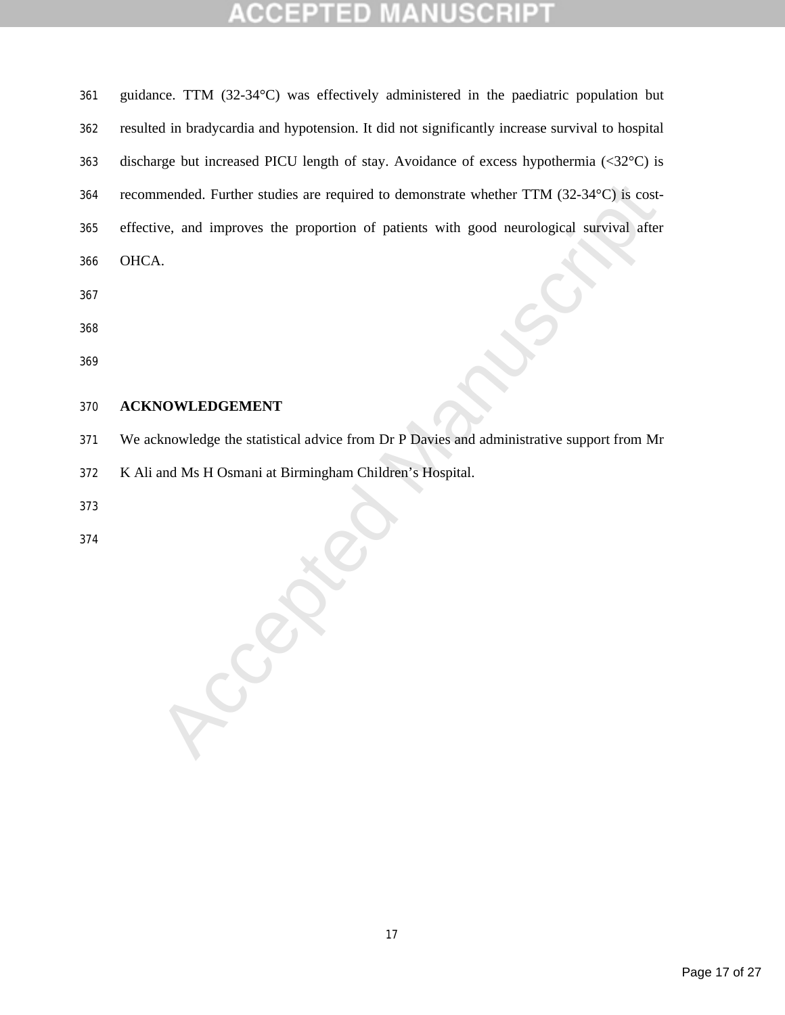### **USCRIP1** TED 生 CCEP

| 361 | guidance. TTM (32-34°C) was effectively administered in the paediatric population but                                   |
|-----|-------------------------------------------------------------------------------------------------------------------------|
| 362 | resulted in bradycardia and hypotension. It did not significantly increase survival to hospital                         |
| 363 | discharge but increased PICU length of stay. Avoidance of excess hypothermia $(\langle 32^{\circ} \text{C} \rangle)$ is |
| 364 | recommended. Further studies are required to demonstrate whether TTM (32-34°C) is cost-                                 |
| 365 | effective, and improves the proportion of patients with good neurological survival after                                |
| 366 | OHCA.                                                                                                                   |
| 367 |                                                                                                                         |
| 368 |                                                                                                                         |
| 369 |                                                                                                                         |

### **ACKNOWLEDGEMENT**

We acknowledge the statistical advice from Dr P Davies and administrative support from Mr

K Ali and Ms H Osmani at Birmingham Children's Hospital.

**Propriet** 

- 
-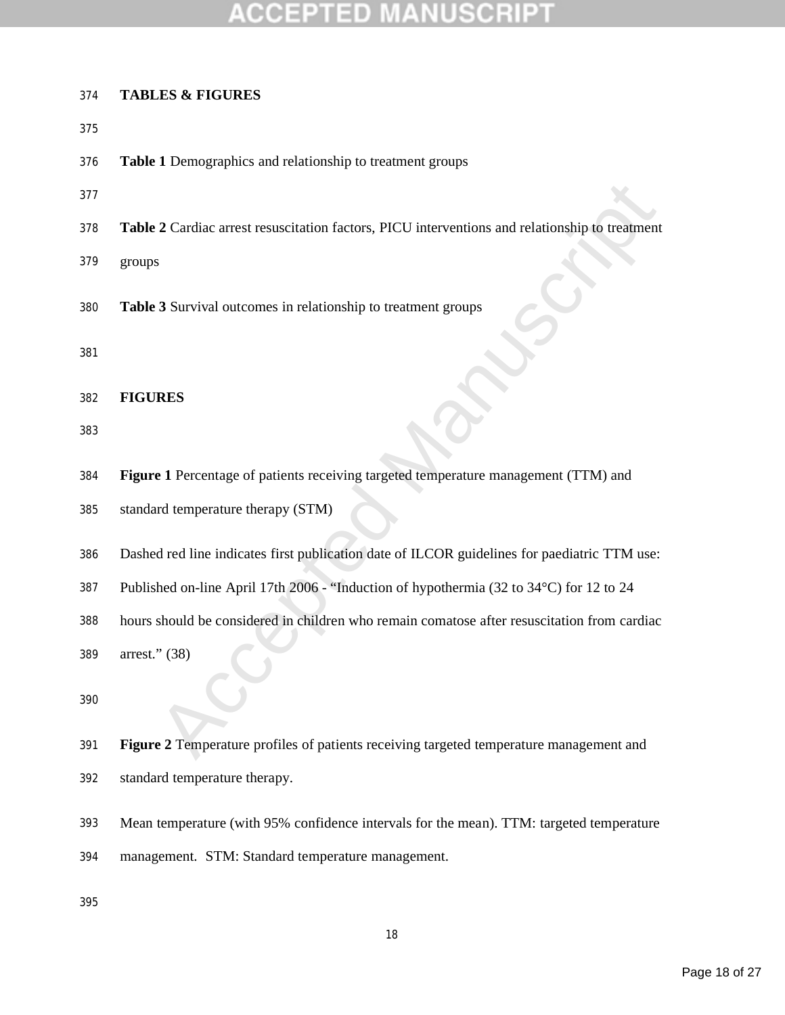## TED

### **TABLES & FIGURES**

- 
- **Table 1** Demographics and relationship to treatment groups
- 
- **Table 2** Cardiac arrest resuscitation factors, PICU interventions and relationship to treatment
- groups
- **Table 3** Survival outcomes in relationship to treatment groups
- 

**FIGURES**

- 
- **Figure 1** Percentage of patients receiving targeted temperature management (TTM) and
- standard temperature therapy (STM)
- Dashed red line indicates first publication date of ILCOR guidelines for paediatric TTM use:
- Published on-line April 17th 2006 "Induction of hypothermia (32 to 34°C) for 12 to 24
- hours should be considered in children who remain comatose after resuscitation from cardiac
- arrest." (38)
- 
- 2 Cardiac arrest resuscitation factors, PICU interventions and relationship to treatment<br>
<sup>8</sup><br>
3 Survival outcomes in relationship to treatment groups<br> **RES**<br> **e I** Percentage of patients receiving targeted temperature ma **Figure 2** Temperature profiles of patients receiving targeted temperature management and
- standard temperature therapy.
- Mean temperature (with 95% confidence intervals for the mean). TTM: targeted temperature
- management. STM: Standard temperature management.
-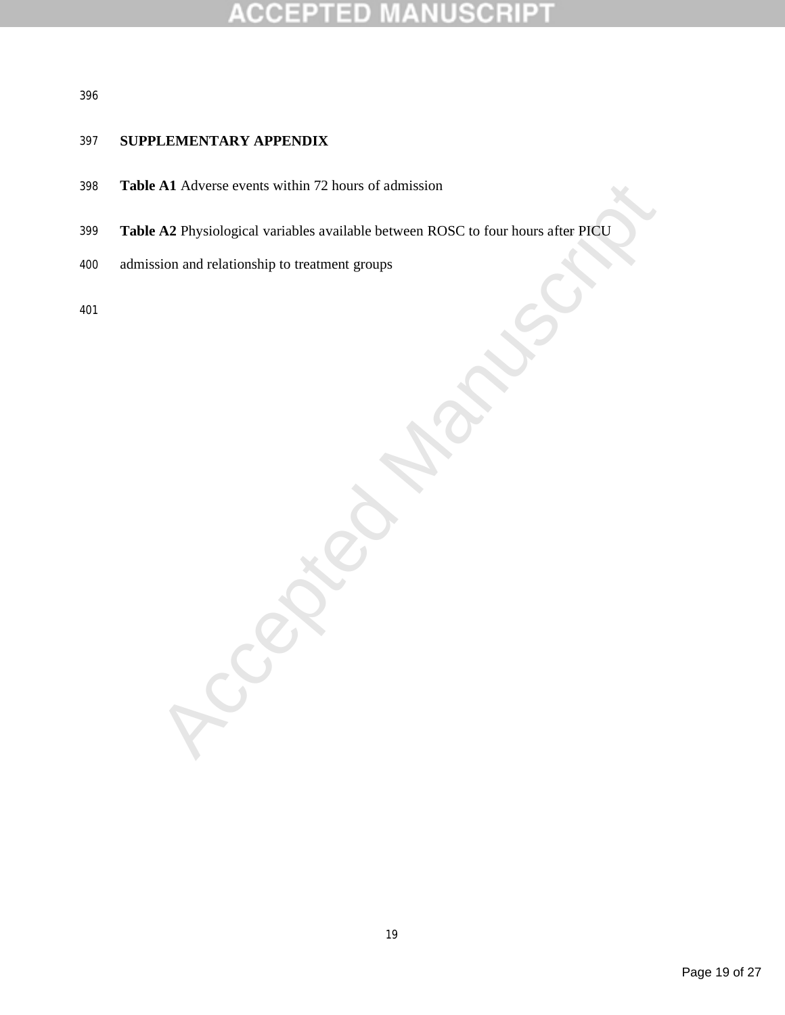### E CRI  $\pm$

### 

### **SUPPLEMENTARY APPENDIX**

- **Table A1** Adverse events within 72 hours of admission
- All Adverse events within 72 hours of admission<br>
A2 Physiological variables available between ROSC to four hours after PICU<br>
Sion and relationship to treatment groups<br>
All All Accepts of the control of the control of the s **Table A2** Physiological variables available between ROSC to four hours after PICU
- admission and relationship to treatment groups
-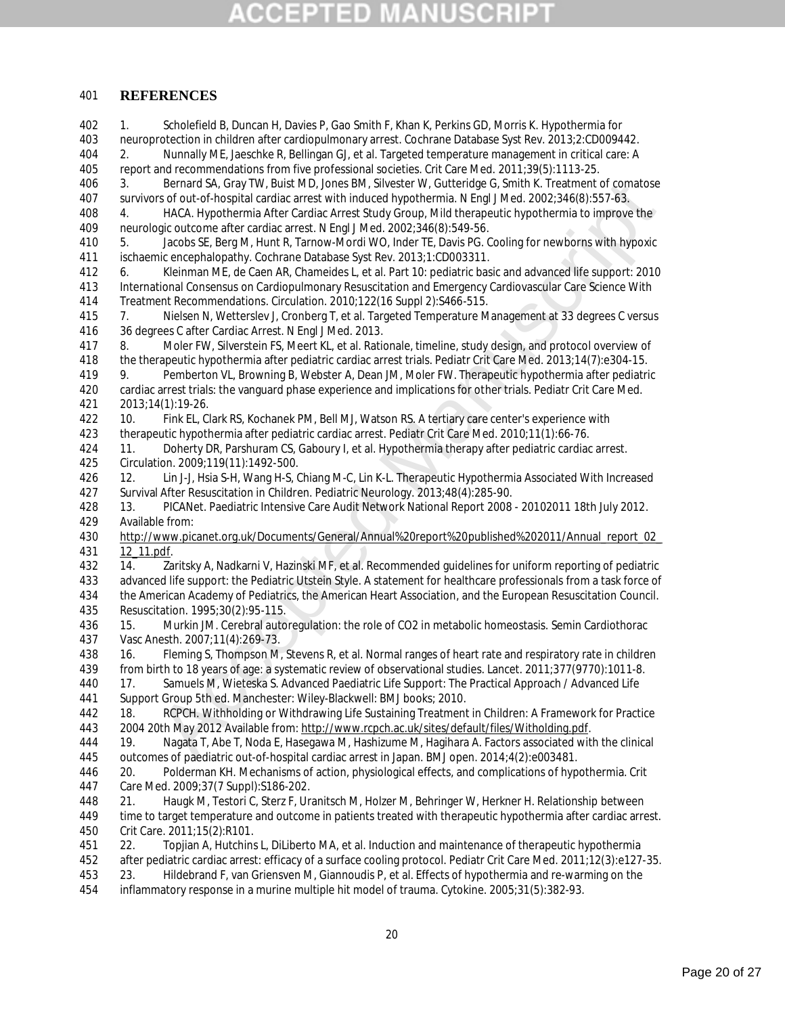### **REFERENCES**

Bernard SA, Gray TW, Busit MD, Jones BM, Silvester W, Guittendge C, Smith K. Treatment of comatose<br>
16 for Accepts Manuscripts After Gardisc Arrest Stift Induced hypothermia. Ningl. Med. 2002:346(8):557-63.<br>
HACA Hypotherm 1. Scholefield B, Duncan H, Davies P, Gao Smith F, Khan K, Perkins GD, Morris K. Hypothermia for neuroprotection in children after cardiopulmonary arrest. Cochrane Database Syst Rev. 2013;2:CD009442. 2. Nunnally ME, Jaeschke R, Bellingan GJ, et al. Targeted temperature management in critical care: A report and recommendations from five professional societies. Crit Care Med. 2011;39(5):1113-25. 3. Bernard SA, Gray TW, Buist MD, Jones BM, Silvester W, Gutteridge G, Smith K. Treatment of comatose survivors of out-of-hospital cardiac arrest with induced hypothermia. N Engl J Med. 2002;346(8):557-63. 4. HACA. Hypothermia After Cardiac Arrest Study Group, Mild therapeutic hypothermia to improve the neurologic outcome after cardiac arrest. N Engl J Med. 2002;346(8):549-56. 5. Jacobs SE, Berg M, Hunt R, Tarnow-Mordi WO, Inder TE, Davis PG. Cooling for newborns with hypoxic ischaemic encephalopathy. Cochrane Database Syst Rev. 2013;1:CD003311. 6. Kleinman ME, de Caen AR, Chameides L, et al. Part 10: pediatric basic and advanced life support: 2010 International Consensus on Cardiopulmonary Resuscitation and Emergency Cardiovascular Care Science With Treatment Recommendations. Circulation. 2010;122(16 Suppl 2):S466-515. 7. Nielsen N, Wetterslev J, Cronberg T, et al. Targeted Temperature Management at 33 degrees C versus 36 degrees C after Cardiac Arrest. N Engl J Med. 2013. 8. Moler FW, Silverstein FS, Meert KL, et al. Rationale, timeline, study design, and protocol overview of the therapeutic hypothermia after pediatric cardiac arrest trials. Pediatr Crit Care Med. 2013;14(7):e304-15. 9. Pemberton VL, Browning B, Webster A, Dean JM, Moler FW. Therapeutic hypothermia after pediatric cardiac arrest trials: the vanguard phase experience and implications for other trials. Pediatr Crit Care Med. 2013;14(1):19-26. 10. Fink EL, Clark RS, Kochanek PM, Bell MJ, Watson RS. A tertiary care center's experience with therapeutic hypothermia after pediatric cardiac arrest. Pediatr Crit Care Med. 2010;11(1):66-76. 11. Doherty DR, Parshuram CS, Gaboury I, et al. Hypothermia therapy after pediatric cardiac arrest. Circulation. 2009;119(11):1492-500. 12. Lin J-J, Hsia S-H, Wang H-S, Chiang M-C, Lin K-L. Therapeutic Hypothermia Associated With Increased Survival After Resuscitation in Children. Pediatric Neurology. 2013;48(4):285-90. 13. PICANet. Paediatric Intensive Care Audit Network National Report 2008 - 20102011 18th July 2012. Available from: http://www.picanet.org.uk/Documents/General/Annual%20report%20published%202011/Annual\_report\_02\_ 12\_11.pdf. 14. Zaritsky A, Nadkarni V, Hazinski MF, et al. Recommended guidelines for uniform reporting of pediatric advanced life support: the Pediatric Utstein Style. A statement for healthcare professionals from a task force of the American Academy of Pediatrics, the American Heart Association, and the European Resuscitation Council. Resuscitation. 1995;30(2):95-115. 15. Murkin JM. Cerebral autoregulation: the role of CO2 in metabolic homeostasis. Semin Cardiothorac Vasc Anesth. 2007;11(4):269-73. 438 16. Fleming S, Thompson M, Stevens R, et al. Normal ranges of heart rate and respiratory rate in children<br>439 from birth to 18 years of age: a systematic review of observational studies. Lancet. 2011;377(9770):1011-8 from birth to 18 years of age: a systematic review of observational studies. Lancet. 2011;377(9770):1011-8. 17. Samuels M, Wieteska S. Advanced Paediatric Life Support: The Practical Approach / Advanced Life Support Group 5th ed. Manchester: Wiley-Blackwell: BMJ books; 2010. 18. RCPCH. Withholding or Withdrawing Life Sustaining Treatment in Children: A Framework for Practice 2004 20th May 2012 Available from: http://www.rcpch.ac.uk/sites/default/files/Witholding.pdf. 19. Nagata T, Abe T, Noda E, Hasegawa M, Hashizume M, Hagihara A. Factors associated with the clinical outcomes of paediatric out-of-hospital cardiac arrest in Japan. BMJ open. 2014;4(2):e003481. 20. Polderman KH. Mechanisms of action, physiological effects, and complications of hypothermia. Crit Care Med. 2009;37(7 Suppl):S186-202. 21. Haugk M, Testori C, Sterz F, Uranitsch M, Holzer M, Behringer W, Herkner H. Relationship between time to target temperature and outcome in patients treated with therapeutic hypothermia after cardiac arrest. Crit Care. 2011;15(2):R101. 22. Topjian A, Hutchins L, DiLiberto MA, et al. Induction and maintenance of therapeutic hypothermia after pediatric cardiac arrest: efficacy of a surface cooling protocol. Pediatr Crit Care Med. 2011;12(3):e127-35. 23. Hildebrand F, van Griensven M, Giannoudis P, et al. Effects of hypothermia and re-warming on the inflammatory response in a murine multiple hit model of trauma. Cytokine. 2005;31(5):382-93.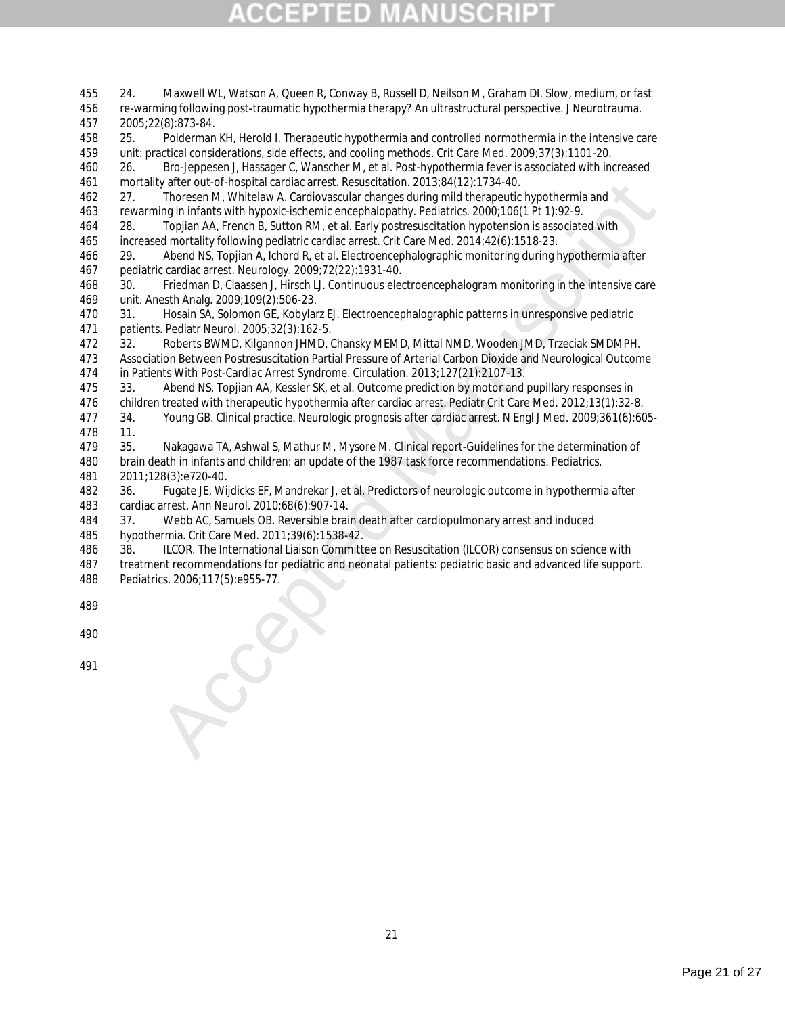| 455        | 24.<br>Maxwell WL, Watson A, Queen R, Conway B, Russell D, Neilson M, Graham DI. Slow, medium, or fast                                                                                                                       |
|------------|------------------------------------------------------------------------------------------------------------------------------------------------------------------------------------------------------------------------------|
| 456        | re-warming following post-traumatic hypothermia therapy? An ultrastructural perspective. J Neurotrauma.                                                                                                                      |
| 457        | 2005;22(8):873-84.                                                                                                                                                                                                           |
| 458        | Polderman KH, Herold I. Therapeutic hypothermia and controlled normothermia in the intensive care<br>25.                                                                                                                     |
| 459        | unit: practical considerations, side effects, and cooling methods. Crit Care Med. 2009;37(3):1101-20.                                                                                                                        |
| 460        | Bro-Jeppesen J, Hassager C, Wanscher M, et al. Post-hypothermia fever is associated with increased<br>26.                                                                                                                    |
| 461        | mortality after out-of-hospital cardiac arrest. Resuscitation. 2013;84(12):1734-40.                                                                                                                                          |
| 462        | Thoresen M, Whitelaw A. Cardiovascular changes during mild therapeutic hypothermia and<br>27.                                                                                                                                |
| 463        | rewarming in infants with hypoxic-ischemic encephalopathy. Pediatrics. 2000;106(1 Pt 1):92-9.                                                                                                                                |
| 464        | 28.<br>Topjian AA, French B, Sutton RM, et al. Early postresuscitation hypotension is associated with                                                                                                                        |
| 465        | increased mortality following pediatric cardiac arrest. Crit Care Med. 2014;42(6):1518-23.                                                                                                                                   |
| 466        | Abend NS, Topjian A, Ichord R, et al. Electroencephalographic monitoring during hypothermia after<br>29.                                                                                                                     |
| 467        | pediatric cardiac arrest. Neurology. 2009;72(22):1931-40.                                                                                                                                                                    |
| 468        | Friedman D, Claassen J, Hirsch LJ. Continuous electroencephalogram monitoring in the intensive care<br>30.                                                                                                                   |
| 469        | unit. Anesth Analg. 2009;109(2):506-23.                                                                                                                                                                                      |
| 470        | Hosain SA, Solomon GE, Kobylarz EJ. Electroencephalographic patterns in unresponsive pediatric<br>31.                                                                                                                        |
| 471        | patients. Pediatr Neurol. 2005;32(3):162-5.                                                                                                                                                                                  |
| 472        | Roberts BWMD, Kilgannon JHMD, Chansky MEMD, Mittal NMD, Wooden JMD, Trzeciak SMDMPH.<br>32.                                                                                                                                  |
| 473        | Association Between Postresuscitation Partial Pressure of Arterial Carbon Dioxide and Neurological Outcome                                                                                                                   |
| 474        | in Patients With Post-Cardiac Arrest Syndrome. Circulation. 2013;127(21):2107-13.                                                                                                                                            |
| 475        | 33.<br>Abend NS, Topjian AA, Kessler SK, et al. Outcome prediction by motor and pupillary responses in                                                                                                                       |
| 476<br>477 | children treated with therapeutic hypothermia after cardiac arrest. Pediatr Crit Care Med. 2012;13(1):32-8.<br>Young GB. Clinical practice. Neurologic prognosis after cardiac arrest. N Engl J Med. 2009;361(6):605-<br>34. |
| 478        | 11.                                                                                                                                                                                                                          |
| 479        | 35.<br>Nakagawa TA, Ashwal S, Mathur M, Mysore M. Clinical report-Guidelines for the determination of                                                                                                                        |
| 480        | brain death in infants and children: an update of the 1987 task force recommendations. Pediatrics.                                                                                                                           |
| 481        | 2011;128(3):e720-40.                                                                                                                                                                                                         |
| 482        | Fugate JE, Wijdicks EF, Mandrekar J, et al. Predictors of neurologic outcome in hypothermia after<br>36.                                                                                                                     |
| 483        | cardiac arrest. Ann Neurol. 2010;68(6):907-14.                                                                                                                                                                               |
| 484        | Webb AC, Samuels OB. Reversible brain death after cardiopulmonary arrest and induced<br>37.                                                                                                                                  |
| 485        | hypothermia. Crit Care Med. 2011;39(6):1538-42.                                                                                                                                                                              |
| 486        | ILCOR. The International Liaison Committee on Resuscitation (ILCOR) consensus on science with<br>38.                                                                                                                         |
| 487        | treatment recommendations for pediatric and neonatal patients: pediatric basic and advanced life support.                                                                                                                    |
| 488        | Pediatrics. 2006;117(5):e955-77.                                                                                                                                                                                             |
| 489        |                                                                                                                                                                                                                              |
|            |                                                                                                                                                                                                                              |
| 490        |                                                                                                                                                                                                                              |
|            |                                                                                                                                                                                                                              |
| 491        |                                                                                                                                                                                                                              |
|            |                                                                                                                                                                                                                              |
|            |                                                                                                                                                                                                                              |
|            |                                                                                                                                                                                                                              |
|            |                                                                                                                                                                                                                              |

Page 21 of 27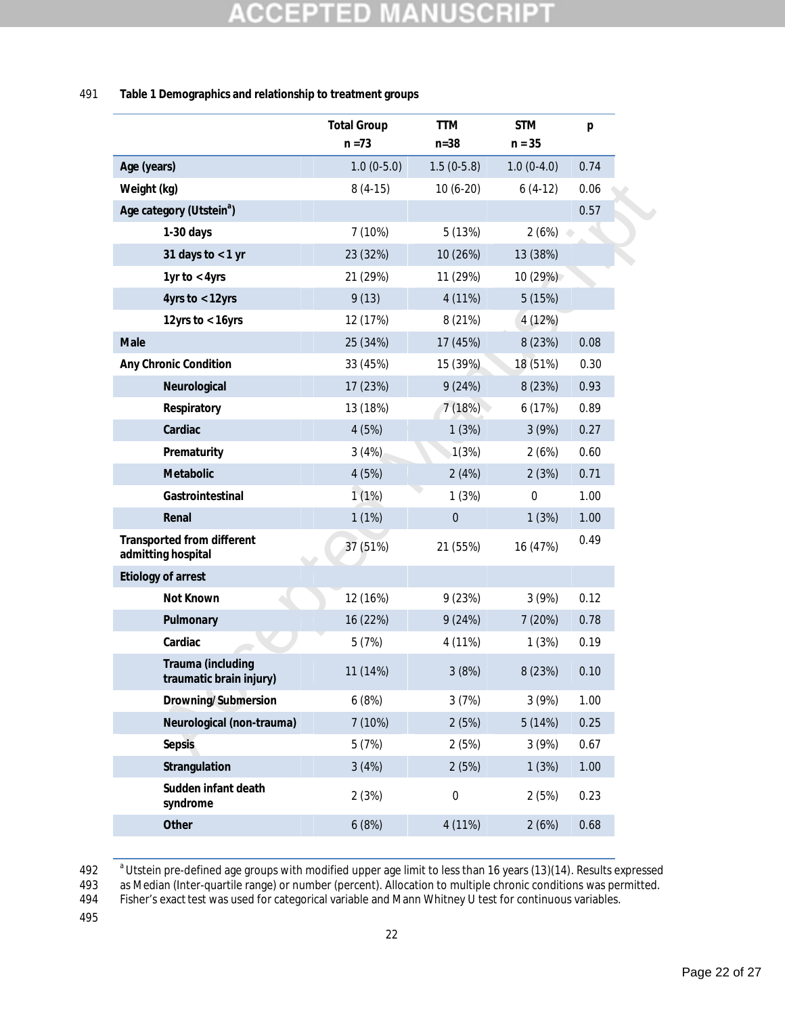### CCEPT SCRIP ED U, U ä

### 491 **Table 1 Demographics and relationship to treatment groups**

|                                                  | <b>Total Group</b><br>$n = 73$ | <b>TTM</b><br>$n = 38$ | <b>STM</b><br>$n = 35$ | p    |
|--------------------------------------------------|--------------------------------|------------------------|------------------------|------|
| Age (years)                                      | $1.0(0-5.0)$                   | $1.5(0-5.8)$           | $1.0(0-4.0)$           | 0.74 |
| Weight (kg)                                      | $8(4-15)$                      | $10(6-20)$             | $6(4-12)$              | 0.06 |
| Age category (Utstein <sup>a</sup> )             |                                |                        |                        | 0.57 |
| $1-30$ days                                      | 7 (10%)                        | 5 (13%)                | 2(6%)                  |      |
| 31 days to $<$ 1 yr                              | 23 (32%)                       | 10 (26%)               | 13 (38%)               |      |
| 1yr to $<$ 4yrs                                  | 21 (29%)                       | 11 (29%)               | 10(29%)                |      |
| 4yrs to $<$ 12yrs                                | 9(13)                          | 4 (11%)                | 5(15%)                 |      |
| 12yrs to $<$ 16yrs                               | 12 (17%)                       | 8 (21%)                | 4 (12%)                |      |
| Male                                             | 25 (34%)                       | 17 (45%)               | 8 (23%)                | 0.08 |
| Any Chronic Condition                            | 33 (45%)                       | 15 (39%)               | 18 (51%)               | 0.30 |
| Neurological                                     | 17 (23%)                       | 9(24%)                 | 8 (23%)                | 0.93 |
| Respiratory                                      | 13 (18%)                       | 7(18%)                 | 6(17%)                 | 0.89 |
| Cardiac                                          | 4(5%)                          | 1(3%)                  | 3(9%)                  | 0.27 |
| Prematurity                                      | 3(4%)                          | 1(3%)                  | 2(6%)                  | 0.60 |
| Metabolic                                        | 4(5%)                          | 2(4%)                  | 2(3%)                  | 0.71 |
| Gastrointestinal                                 | 1(1%)                          | 1(3%)                  | $\mathbf{0}$           | 1.00 |
| Renal                                            | 1(1%)                          | $\boldsymbol{0}$       | 1(3%)                  | 1.00 |
| Transported from different<br>admitting hospital | 37 (51%)                       | 21 (55%)               | 16 (47%)               | 0.49 |
| Etiology of arrest                               |                                |                        |                        |      |
| Not Known                                        | 12 (16%)                       | 9(23%)                 | 3(9%)                  | 0.12 |
| Pulmonary                                        | 16 (22%)                       | 9(24%)                 | 7(20%)                 | 0.78 |
| Cardiac                                          | 5(7%)                          | 4 (11%)                | 1(3%)                  | 0.19 |
| Trauma (including<br>traumatic brain injury)     | 11 (14%)                       | 3(8%)                  | 8 (23%)                | 0.10 |
| Drowning/Submersion                              | 6(8%)                          | 3(7%)                  | 3(9%)                  | 1.00 |
| Neurological (non-trauma)                        | 7 (10%)                        | 2(5%)                  | 5(14%)                 | 0.25 |
| Sepsis                                           | 5(7%)                          | 2(5%)                  | 3(9%)                  | 0.67 |
| Strangulation                                    | 3(4%)                          | 2(5%)                  | 1(3%)                  | 1.00 |
| Sudden infant death<br>syndrome                  | 2(3%)                          | $\boldsymbol{0}$       | 2(5%)                  | 0.23 |
| Other                                            | 6(8%)                          | 4 (11%)                | 2(6%)                  | 0.68 |
|                                                  |                                |                        |                        |      |

<sup>a</sup> Utstein pre-defined age groups with modified upper age limit to less than 16 years (13)(14). Results expressed<br>493 as Median (Inter-quartile range) or number (percent). Allocation to multiple chronic conditions was per

493 as Median (Inter-quartile range) or number (percent). Allocation to multiple chronic conditions was permitted.<br>494 Fisher's exact test was used for categorical variable and Mann Whitney U test for continuous variables.

Fisher's exact test was used for categorical variable and Mann Whitney U test for continuous variables.

495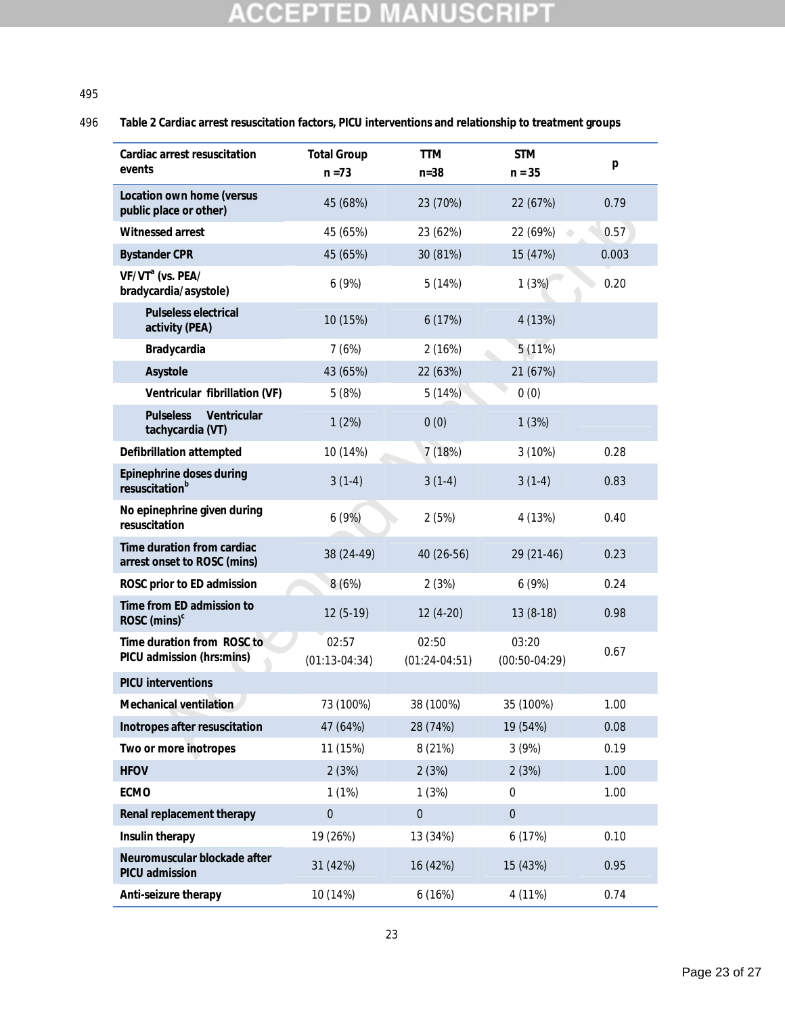### 495

### 496 **Table 2 Cardiac arrest resuscitation factors, PICU interventions and relationship to treatment groups**

| Cardiac arrest resuscitation<br>events                    | <b>Total Group</b><br>$n = 73$ | <b>TTM</b><br>$n = 38$   | <b>STM</b><br>$n = 35$   | p     |
|-----------------------------------------------------------|--------------------------------|--------------------------|--------------------------|-------|
| Location own home (versus                                 | 45 (68%)                       | 23 (70%)                 | 22 (67%)                 | 0.79  |
| public place or other)<br>Witnessed arrest                | 45 (65%)                       | 23 (62%)                 | 22 (69%)                 | 0.57  |
| <b>Bystander CPR</b>                                      | 45 (65%)                       | 30 (81%)                 | 15 (47%)                 | 0.003 |
| VF/VT <sup>a</sup> (vs. PEA/<br>bradycardia/asystole)     | 6(9%)                          | 5(14%)                   | 1(3%)                    | 0.20  |
| Pulseless electrical<br>activity (PEA)                    | 10 (15%)                       | 6(17%)                   | 4 (13%)                  |       |
| Bradycardia                                               | 7(6%)                          | 2(16%)                   | 5(11%)                   |       |
| Asystole                                                  | 43 (65%)                       | 22 (63%)                 | 21 (67%)                 |       |
| Ventricular fibrillation (VF)                             | 5(8%)                          | 5(14%)                   | 0(0)                     |       |
| Ventricular<br><b>Pulseless</b><br>tachycardia (VT)       | 1(2%)                          | 0(0)                     | 1(3%)                    |       |
| Defibrillation attempted                                  | 10 (14%)                       | 7 (18%)                  | 3 (10%)                  | 0.28  |
| Epinephrine doses during<br>resuscitation <sup>b</sup>    | $3(1-4)$                       | $3(1-4)$                 | $3(1-4)$                 | 0.83  |
| No epinephrine given during<br>resuscitation              | 6(9%)                          | 2(5%)                    | 4 (13%)                  | 0.40  |
| Time duration from cardiac<br>arrest onset to ROSC (mins) | 38 (24-49)                     | 40 (26-56)               | 29 (21-46)               | 0.23  |
| ROSC prior to ED admission                                | 8(6%)                          | 2(3%)                    | 6(9%)                    | 0.24  |
| Time from ED admission to<br>ROSC $(mins)^c$              | $12(5-19)$                     | 12 (4-20)                | $13(8-18)$               | 0.98  |
| Time duration from ROSC to<br>PICU admission (hrs:mins)   | 02:57<br>(01:13.04:34)         | 02:50<br>$(01:24-04:51)$ | 03:20<br>$(00:50-04:29)$ | 0.67  |
| <b>PICU</b> interventions                                 |                                |                          |                          |       |
| Mechanical ventilation                                    | 73 (100%)                      | 38 (100%)                | 35 (100%)                | 1.00  |
| Inotropes after resuscitation                             | 47 (64%)                       | 28 (74%)                 | 19 (54%)                 | 0.08  |
| Two or more inotropes                                     | 11 (15%)                       | 8 (21%)                  | 3(9%)                    | 0.19  |
| <b>HFOV</b>                                               | 2(3%)                          | 2(3%)                    | 2(3%)                    | 1.00  |
| ECMO                                                      | 1(1%)                          | 1(3%)                    | 0                        | 1.00  |
| Renal replacement therapy                                 | $\boldsymbol{0}$               | $\boldsymbol{0}$         | $\boldsymbol{0}$         |       |
| Insulin therapy                                           | 19 (26%)                       | 13 (34%)                 | 6 (17%)                  | 0.10  |
| Neuromuscular blockade after<br>PICU admission            | 31 (42%)                       | 16 (42%)                 | 15 (43%)                 | 0.95  |
| Anti-seizure therapy                                      | 10 (14%)                       | 6(16%)                   | 4 (11%)                  | 0.74  |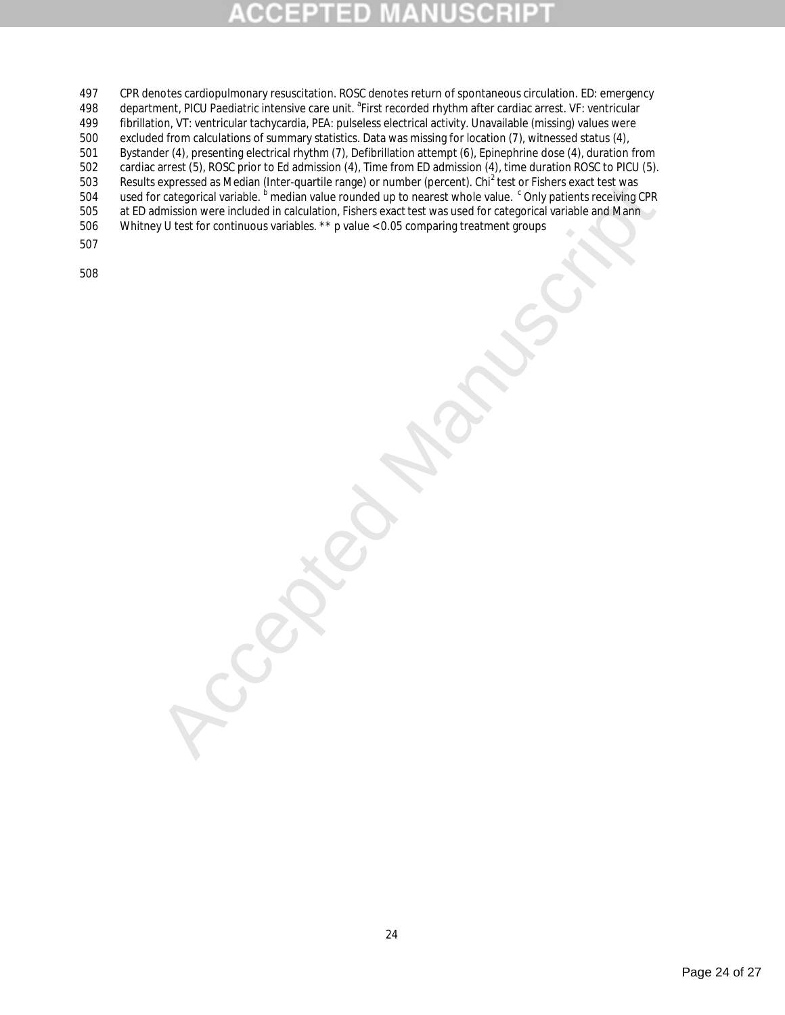## D

- expressed as Medicin Inter-quartier range) or number (percent). Unri l'est of respectival variable. Sur less describes the states was used for change that we can be controlled in calculation, Ficharge and the next variable 497 CPR denotes cardiopulmonary resuscitation. ROSC denotes return of spontaneous circulation. ED: emergency<br>498 department. PICU Paediatric intensive care unit. <sup>a</sup> First recorded rhythm after cardiac arrest. VF: ventricu department, PICU Paediatric intensive care unit. <sup>a</sup> First recorded rhythm after cardiac arrest. VF: ventricular<br>499 fibrillation, VT: ventricular tachycardia, PEA: pulseless electrical activity. Unavailable (missing) valu fibrillation, VT: ventricular tachycardia, PEA: pulseless electrical activity. Unavailable (missing) values were 500 excluded from calculations of summary statistics. Data was missing for location (7), witnessed status (4), 501 Bystander (4), presenting electrical rhythm (7), Defibrillation attempt (6), Epinephrine dose (4), duration from<br>502 cardiac arrest (5), ROSC prior to Ed admission (4), Time from ED admission (4), time duration ROSC to cardiac arrest (5), ROSC prior to Ed admission (4), Time from ED admission (4), time duration ROSC to PICU (5). 503 Results expressed as Median (Inter-quartile range) or number (percent). Chi<sup>2</sup> test or Fishers exact test was 504 used for categorical variable. <sup>b</sup> median value rounded up to nearest whole value. <sup>c</sup> Only patients receiving CPR 505 at ED admission were included in calculation, Fishers exact test was used for categorical variable and Mann
- 506 Whitney U test for continuous variables. \*\* p value < 0.05 comparing treatment groups
- 507

508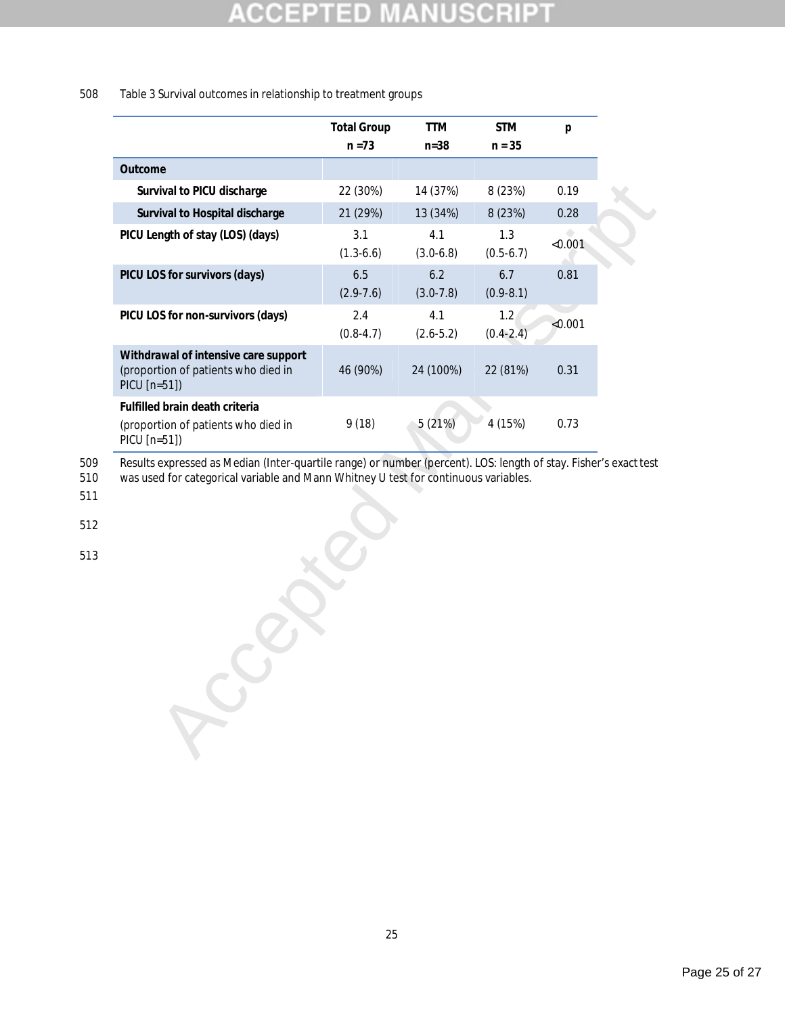### SCRI B D  $\pm$

### 508 Table 3 Survival outcomes in relationship to treatment groups

|                                                                                             | <b>Total Group</b>   | <b>TTM</b>           | <b>STM</b>           | p       |
|---------------------------------------------------------------------------------------------|----------------------|----------------------|----------------------|---------|
|                                                                                             | $n = 73$             | $n = 38$             | $n = 35$             |         |
| Outcome                                                                                     |                      |                      |                      |         |
| Survival to PICU discharge                                                                  | 22 (30%)             | 14 (37%)             | 8 (23%)              | 0.19    |
| Survival to Hospital discharge                                                              | 21 (29%)             | 13 (34%)             | 8 (23%)              | 0.28    |
| PICU Length of stay (LOS) (days)                                                            | 3.1<br>$(1.3-6.6)$   | 4.1<br>$(3.0-6.8)$   | 1.3<br>$(0.5-6.7)$   | < 0.001 |
| PICU LOS for survivors (days)                                                               | 6.5<br>$(2.9 - 7.6)$ | 6.2<br>$(3.0 - 7.8)$ | 6.7<br>$(0.9 - 8.1)$ | 0.81    |
| PICU LOS for non-survivors (days)                                                           | 2.4<br>$(0.8 - 4.7)$ | 4.1<br>$(2.6 - 5.2)$ | 1.2<br>$(0.4 - 2.4)$ | < 0.001 |
| Withdrawal of intensive care support<br>(proportion of patients who died in<br>PICU [n=51]) | 46 (90%)             | 24 (100%)            | 22 (81%)             | 0.31    |
| Fulfilled brain death criteria<br>(proportion of patients who died in<br>PICU [n=51])       | 9 (18)               | 5(21%)               | 4 (15%)              | 0.73    |

509 Results expressed as Median (Inter-quartile range) or number (percent). LOS: length of stay. Fisher's exact test

Accepted Manuscript 510 was used for categorical variable and Mann Whitney U test for continuous variables.

511

512

513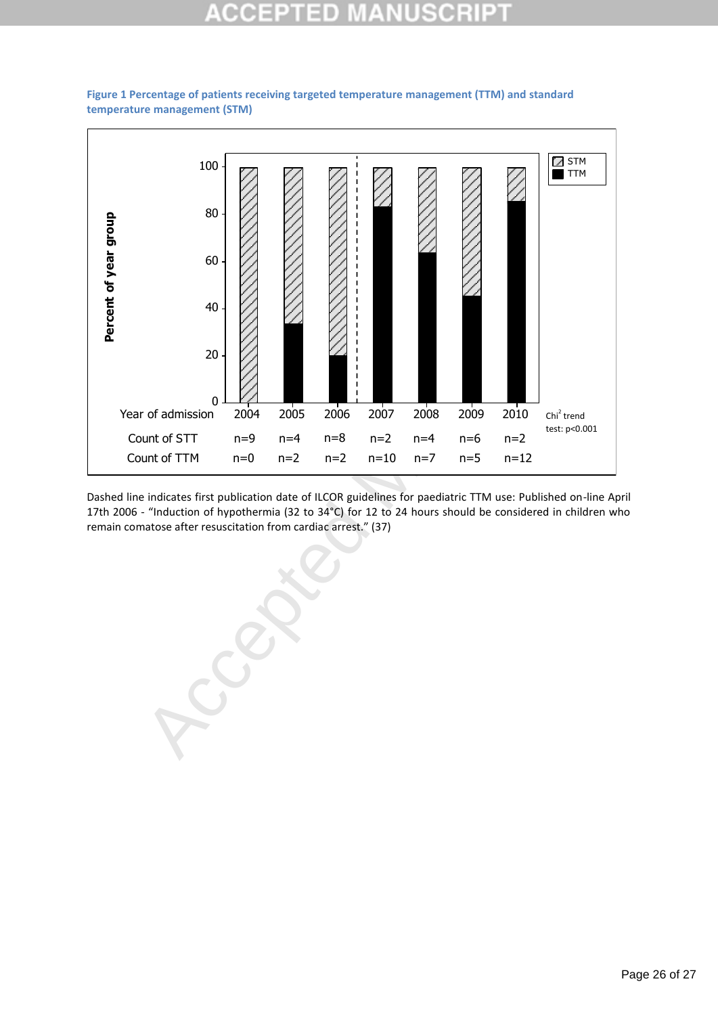### 10 10





Dashed line indicates first publication date of ILCOR guidelines for paediatric TTM use: Published on-line April 17th 2006 - "Induction of hypothermia (32 to 34°C) for 12 to 24 hours should be considered in children who remain comatose after resuscitation from cardiac arrest." (37)